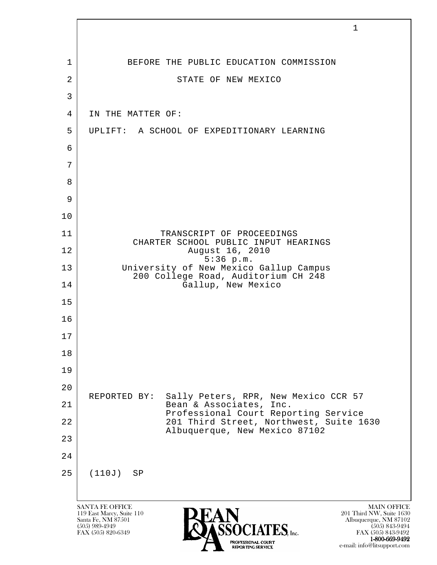|                | $\mathbf{1}$                                                                                                                                                                                                                                                                          |
|----------------|---------------------------------------------------------------------------------------------------------------------------------------------------------------------------------------------------------------------------------------------------------------------------------------|
| $\mathbf 1$    | BEFORE THE PUBLIC EDUCATION COMMISSION                                                                                                                                                                                                                                                |
| $\overline{2}$ | STATE OF NEW MEXICO                                                                                                                                                                                                                                                                   |
| 3              |                                                                                                                                                                                                                                                                                       |
| 4              | IN THE MATTER OF:                                                                                                                                                                                                                                                                     |
| 5              | UPLIFT: A SCHOOL OF EXPEDITIONARY LEARNING                                                                                                                                                                                                                                            |
| 6              |                                                                                                                                                                                                                                                                                       |
| 7              |                                                                                                                                                                                                                                                                                       |
| 8              |                                                                                                                                                                                                                                                                                       |
| 9              |                                                                                                                                                                                                                                                                                       |
| 10             |                                                                                                                                                                                                                                                                                       |
| 11             | TRANSCRIPT OF PROCEEDINGS                                                                                                                                                                                                                                                             |
| 12             | CHARTER SCHOOL PUBLIC INPUT HEARINGS<br>August 16, 2010                                                                                                                                                                                                                               |
| 13             | $5:36$ p.m.<br>University of New Mexico Gallup Campus                                                                                                                                                                                                                                 |
| 14             | 200 College Road, Auditorium CH 248<br>Gallup, New Mexico                                                                                                                                                                                                                             |
| 15             |                                                                                                                                                                                                                                                                                       |
| 16             |                                                                                                                                                                                                                                                                                       |
| 17             |                                                                                                                                                                                                                                                                                       |
| 18             |                                                                                                                                                                                                                                                                                       |
| 19             |                                                                                                                                                                                                                                                                                       |
| 20             | Sally Peters, RPR, New Mexico CCR 57<br>REPORTED BY:                                                                                                                                                                                                                                  |
| 21             | Bean & Associates, Inc.<br>Professional Court Reporting Service                                                                                                                                                                                                                       |
| 22             | 201 Third Street, Northwest, Suite 1630<br>Albuquerque, New Mexico 87102                                                                                                                                                                                                              |
| 23             |                                                                                                                                                                                                                                                                                       |
| 24             |                                                                                                                                                                                                                                                                                       |
| 25             | (110J)<br>SP                                                                                                                                                                                                                                                                          |
|                |                                                                                                                                                                                                                                                                                       |
|                | <b>SANTA FE OFFICE</b><br><b>MAIN OFFICE</b><br>201 Third NW, Suite 1630<br>119 East Marcy, Suite 110<br>Santa Fe, NM 87501<br>Albuquerque, NM 87102<br>$(505)$ 989-4949<br>$(505)$ 843-9494<br>$\mathbf{IATES}$ , Inc.<br>FAX (505) 820-6349<br>FAX (505) 843-9492<br>1-800-669-9492 |

e-mail: info@litsupport.com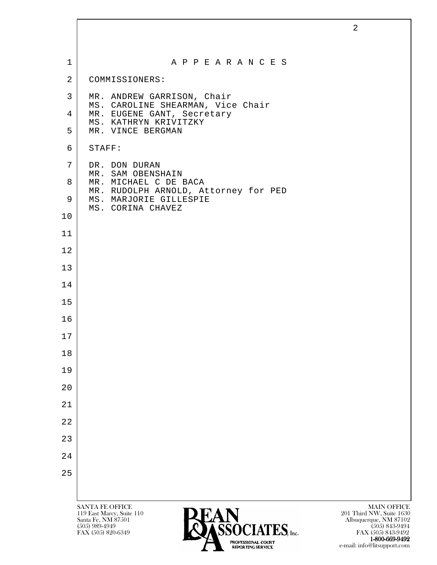| $\mathbf 1$    | A P P E A R A N C E S                                           |                                                |
|----------------|-----------------------------------------------------------------|------------------------------------------------|
| $\overline{2}$ | COMMISSIONERS:                                                  |                                                |
| 3              | MR. ANDREW GARRISON, Chair                                      |                                                |
| $\overline{4}$ | MS. CAROLINE SHEARMAN, Vice Chair<br>MR. EUGENE GANT, Secretary |                                                |
| 5              | MS. KATHRYN KRIVITZKY<br>MR. VINCE BERGMAN                      |                                                |
| 6              | STAFF:                                                          |                                                |
| 7              | DR. DON DURAN<br>MR. SAM OBENSHAIN                              |                                                |
| 8              | MR. MICHAEL C DE BACA<br>MR. RUDOLPH ARNOLD, Attorney for PED   |                                                |
| 9              | MS. MARJORIE GILLESPIE<br>MS. CORINA CHAVEZ                     |                                                |
| 10             |                                                                 |                                                |
| 11             |                                                                 |                                                |
| 12             |                                                                 |                                                |
| 13             |                                                                 |                                                |
| 14             |                                                                 |                                                |
| 15             |                                                                 |                                                |
| 16             |                                                                 |                                                |
| 17             |                                                                 |                                                |
| 18             |                                                                 |                                                |
| 19             |                                                                 |                                                |
| 20             |                                                                 |                                                |
| 21             |                                                                 |                                                |
| 22             |                                                                 |                                                |
| 23             |                                                                 |                                                |
| 24             |                                                                 |                                                |
| 25             |                                                                 |                                                |
|                |                                                                 |                                                |
|                | SANTA FE OFFICE<br><b>DEAN</b><br>119 East Marcy, Suite 110     | <b>MAIN OFFICE</b><br>201 Third NW, Suite 1630 |

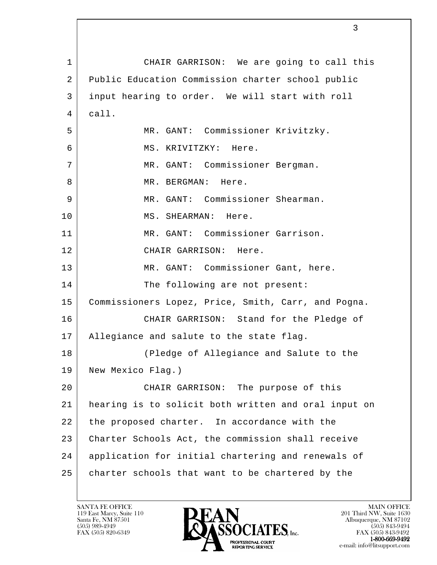l 1 | CHAIR GARRISON: We are going to call this 2 Public Education Commission charter school public 3 input hearing to order. We will start with roll  $4$  call. 5 MR. GANT: Commissioner Krivitzky. 6 MS. KRIVITZKY: Here. 7 MR. GANT: Commissioner Bergman. 8 MR. BERGMAN: Here. 9 MR. GANT: Commissioner Shearman. 10 MS. SHEARMAN: Here. 11 MR. GANT: Commissioner Garrison. 12 CHAIR GARRISON: Here. 13 | MR. GANT: Commissioner Gant, here. 14 The following are not present: 15 | Commissioners Lopez, Price, Smith, Carr, and Pogna. 16 CHAIR GARRISON: Stand for the Pledge of 17 Allegiance and salute to the state flag. 18 (Pledge of Allegiance and Salute to the 19 New Mexico Flag.) 20 CHAIR GARRISON: The purpose of this 21 hearing is to solicit both written and oral input on 22 the proposed charter. In accordance with the 23 Charter Schools Act, the commission shall receive 24 application for initial chartering and renewals of 25 | charter schools that want to be chartered by the

119 East Marcy, Suite 110<br>Santa Fe, NM 87501

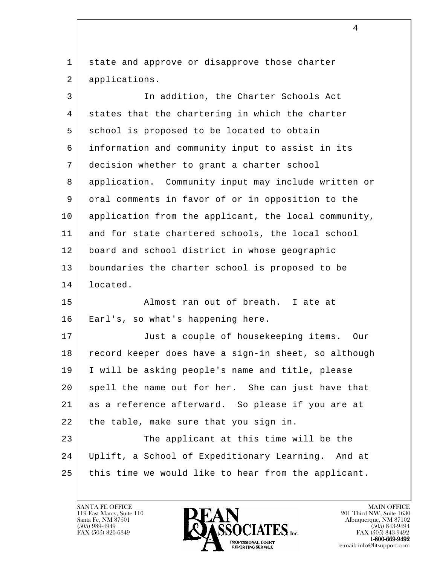1 state and approve or disapprove those charter 2 applications.

 3 In addition, the Charter Schools Act 4 states that the chartering in which the charter 5 school is proposed to be located to obtain 6 information and community input to assist in its 7 decision whether to grant a charter school 8 application. Community input may include written or 9 oral comments in favor of or in opposition to the 10 application from the applicant, the local community, 11 and for state chartered schools, the local school 12 board and school district in whose geographic 13 boundaries the charter school is proposed to be 14 located. 15 | Ralmost ran out of breath. I ate at 16 Earl's, so what's happening here. 17 Just a couple of housekeeping items. Our 18 record keeper does have a sign-in sheet, so although 19 I will be asking people's name and title, please

20 spell the name out for her. She can just have that 21 as a reference afterward. So please if you are at 22 | the table, make sure that you sign in.

l 23 The applicant at this time will be the 24 Uplift, a School of Expeditionary Learning. And at 25 | this time we would like to hear from the applicant.

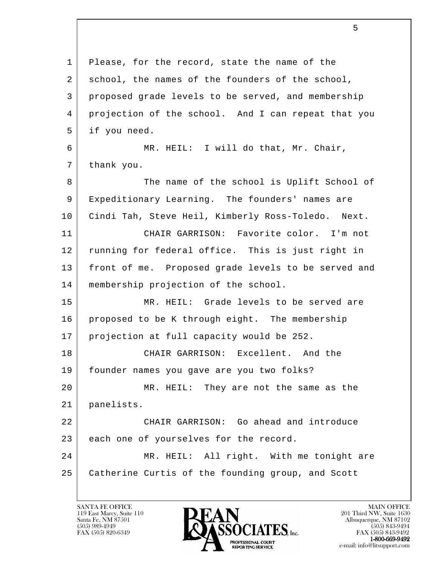| $\mathbf 1$ | Please, for the record, state the name of the       |
|-------------|-----------------------------------------------------|
| 2           | school, the names of the founders of the school,    |
| 3           | proposed grade levels to be served, and membership  |
| 4           | projection of the school. And I can repeat that you |
| 5           | if you need.                                        |
| 6           | MR. HEIL: I will do that, Mr. Chair,                |
| 7           | thank you.                                          |
| 8           | The name of the school is Uplift School of          |
| 9           | Expeditionary Learning. The founders' names are     |
| 10          | Cindi Tah, Steve Heil, Kimberly Ross-Toledo. Next.  |
| 11          | CHAIR GARRISON: Favorite color. I'm not             |
| 12          | running for federal office. This is just right in   |
| 13          | front of me. Proposed grade levels to be served and |
| 14          | membership projection of the school.                |
| 15          | MR. HEIL: Grade levels to be served are             |
| 16          | proposed to be K through eight. The membership      |
| 17          | projection at full capacity would be 252.           |
| 18          | CHAIR GARRISON: Excellent. And the                  |
| 19          | founder names you gave are you two folks?           |
| 20          | MR. HEIL: They are not the same as the              |
| 21          | panelists.                                          |
| 22          | CHAIR GARRISON: Go ahead and introduce              |
| 23          | each one of yourselves for the record.              |
| 24          | MR. HEIL: All right. With me tonight are            |
| 25          | Catherine Curtis of the founding group, and Scott   |
|             |                                                     |

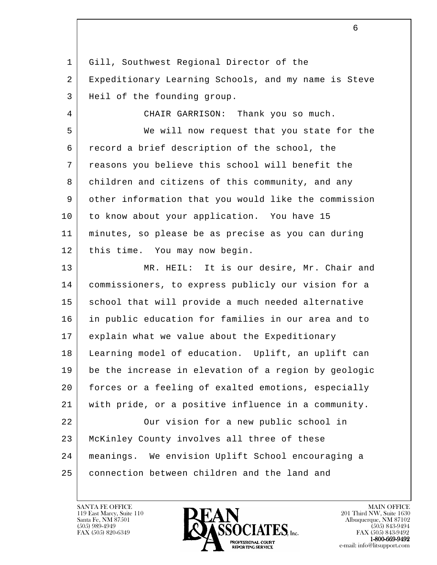1 Gill, Southwest Regional Director of the 2 Expeditionary Learning Schools, and my name is Steve 3 Heil of the founding group.

4 CHAIR GARRISON: Thank you so much.

 5 We will now request that you state for the 6 record a brief description of the school, the 7 reasons you believe this school will benefit the 8 children and citizens of this community, and any 9 other information that you would like the commission 10 to know about your application. You have 15 11 minutes, so please be as precise as you can during 12 | this time. You may now begin.

l 13 MR. HEIL: It is our desire, Mr. Chair and 14 commissioners, to express publicly our vision for a 15 | school that will provide a much needed alternative 16 in public education for families in our area and to 17 explain what we value about the Expeditionary 18 Learning model of education. Uplift, an uplift can 19 be the increase in elevation of a region by geologic 20 forces or a feeling of exalted emotions, especially 21 with pride, or a positive influence in a community. 22 Our vision for a new public school in 23 McKinley County involves all three of these 24 meanings. We envision Uplift School encouraging a

 25 connection between children and the land and

119 East Marcy, Suite 110<br>Santa Fe, NM 87501



FAX (505) 843-9492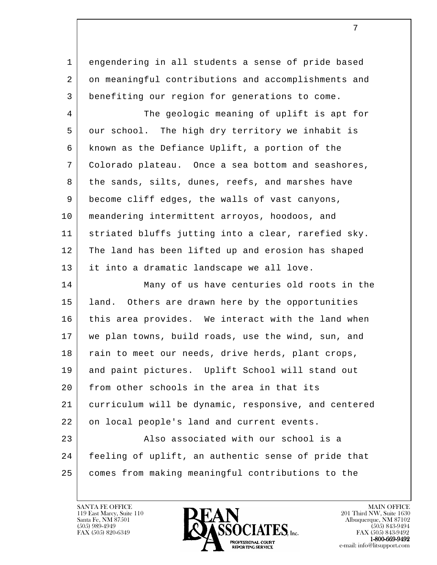1 engendering in all students a sense of pride based 2 on meaningful contributions and accomplishments and 3 benefiting our region for generations to come.

4 The geologic meaning of uplift is apt for 5 our school. The high dry territory we inhabit is 6 known as the Defiance Uplift, a portion of the 7 Colorado plateau. Once a sea bottom and seashores, 8 the sands, silts, dunes, reefs, and marshes have 9 become cliff edges, the walls of vast canyons, 10 meandering intermittent arroyos, hoodoos, and 11 striated bluffs jutting into a clear, rarefied sky. 12 | The land has been lifted up and erosion has shaped 13 it into a dramatic landscape we all love.

l 14 Many of us have centuries old roots in the 15 | land. Others are drawn here by the opportunities 16 this area provides. We interact with the land when 17 we plan towns, build roads, use the wind, sun, and 18 | rain to meet our needs, drive herds, plant crops, 19 and paint pictures. Uplift School will stand out 20 from other schools in the area in that its 21 curriculum will be dynamic, responsive, and centered 22 on local people's land and current events. 23 Also associated with our school is a 24 feeling of uplift, an authentic sense of pride that 25 comes from making meaningful contributions to the

119 East Marcy, Suite 110<br>Santa Fe, NM 87501

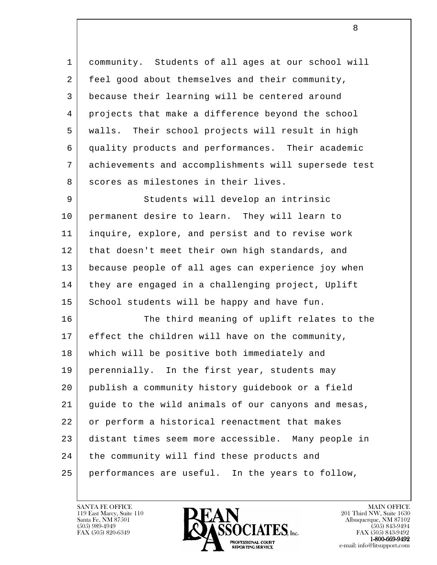1 community. Students of all ages at our school will 2 feel good about themselves and their community, 3 because their learning will be centered around 4 projects that make a difference beyond the school 5 walls. Their school projects will result in high 6 quality products and performances. Their academic 7 achievements and accomplishments will supersede test 8 scores as milestones in their lives. 9 | Students will develop an intrinsic 10 permanent desire to learn. They will learn to 11 inquire, explore, and persist and to revise work 12 | that doesn't meet their own high standards, and 13 because people of all ages can experience joy when 14 they are engaged in a challenging project, Uplift 15 School students will be happy and have fun. 16 The third meaning of uplift relates to the 17 effect the children will have on the community, 18 which will be positive both immediately and 19 | perennially. In the first year, students may 20 publish a community history guidebook or a field

21 guide to the wild animals of our canyons and mesas,

l 22 or perform a historical reenactment that makes 23 distant times seem more accessible. Many people in 24 the community will find these products and 25 performances are useful. In the years to follow,

119 East Marcy, Suite 110<br>Santa Fe, NM 87501

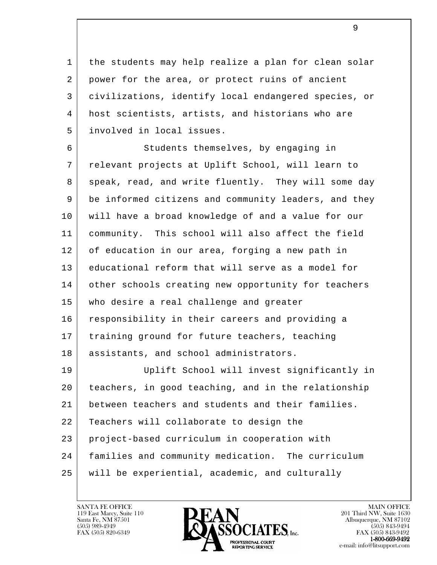1 | the students may help realize a plan for clean solar 2 power for the area, or protect ruins of ancient 3 civilizations, identify local endangered species, or 4 host scientists, artists, and historians who are 5 involved in local issues.

6 Students themselves, by engaging in 7 relevant projects at Uplift School, will learn to 8 speak, read, and write fluently. They will some day 9 be informed citizens and community leaders, and they 10 will have a broad knowledge of and a value for our 11 community. This school will also affect the field 12 of education in our area, forging a new path in 13 educational reform that will serve as a model for 14 other schools creating new opportunity for teachers 15 who desire a real challenge and greater 16 responsibility in their careers and providing a 17 training ground for future teachers, teaching 18 | assistants, and school administrators. 19 Uplift School will invest significantly in

l 20 teachers, in good teaching, and in the relationship 21 between teachers and students and their families. 22 Teachers will collaborate to design the 23 project-based curriculum in cooperation with 24 families and community medication. The curriculum 25 will be experiential, academic, and culturally

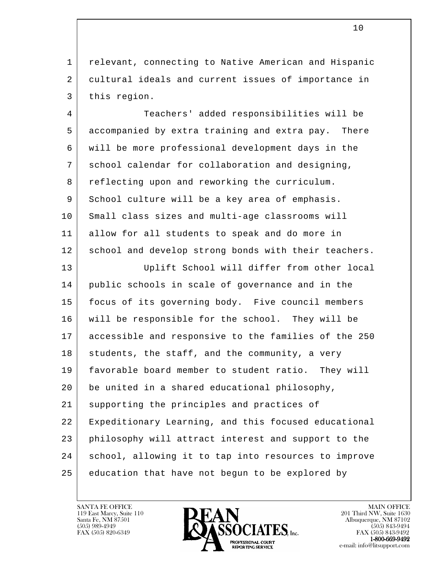1 relevant, connecting to Native American and Hispanic 2 cultural ideals and current issues of importance in 3 this region.

 4 Teachers' added responsibilities will be 5 accompanied by extra training and extra pay. There 6 will be more professional development days in the 7 school calendar for collaboration and designing, 8 reflecting upon and reworking the curriculum. 9 School culture will be a key area of emphasis. 10 Small class sizes and multi-age classrooms will 11 allow for all students to speak and do more in 12 school and develop strong bonds with their teachers.

l 13 Uplift School will differ from other local 14 public schools in scale of governance and in the 15 focus of its governing body. Five council members 16 will be responsible for the school. They will be 17 accessible and responsive to the families of the 250 18 students, the staff, and the community, a very 19 favorable board member to student ratio. They will 20 be united in a shared educational philosophy, 21 supporting the principles and practices of 22 Expeditionary Learning, and this focused educational 23 philosophy will attract interest and support to the 24 school, allowing it to tap into resources to improve 25 education that have not begun to be explored by

119 East Marcy, Suite 110<br>Santa Fe, NM 87501



FAX (505) 843-9492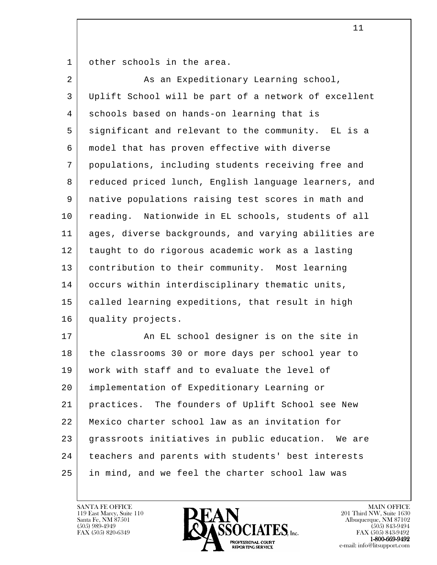1 | other schools in the area.

| $\overline{a}$ | As an Expeditionary Learning school,                 |
|----------------|------------------------------------------------------|
| 3              | Uplift School will be part of a network of excellent |
| 4              | schools based on hands-on learning that is           |
| 5              | significant and relevant to the community. EL is a   |
| 6              | model that has proven effective with diverse         |
| 7              | populations, including students receiving free and   |
| 8              | reduced priced lunch, English language learners, and |
| 9              | native populations raising test scores in math and   |
| 10             | reading. Nationwide in EL schools, students of all   |
| 11             | ages, diverse backgrounds, and varying abilities are |
| 12             | taught to do rigorous academic work as a lasting     |
| 13             | contribution to their community. Most learning       |
| 14             | occurs within interdisciplinary thematic units,      |
| 15             | called learning expeditions, that result in high     |
| 16             | quality projects.                                    |
| 17             | An EL school designer is on the site in              |
| 18             | the classrooms 30 or more days per school year to    |
| 19             | work with staff and to evaluate the level of         |
| 20             | implementation of Expeditionary Learning or          |
| 21             | practices. The founders of Uplift School see New     |
| 22             | Mexico charter school law as an invitation for       |
| 23             | grassroots initiatives in public education. We are   |
| 24             | teachers and parents with students' best interests   |
| 25             | in mind, and we feel the charter school law was      |

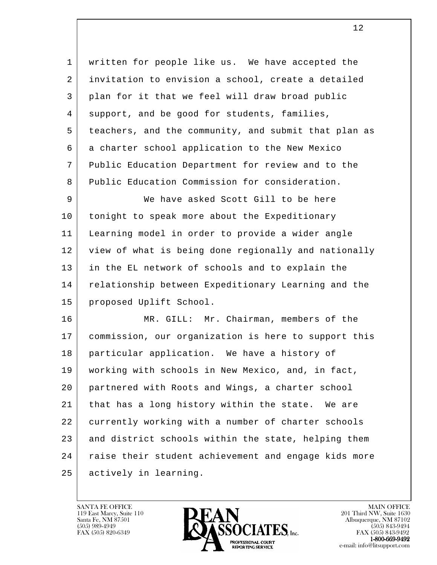1 | written for people like us. We have accepted the 2 invitation to envision a school, create a detailed 3 plan for it that we feel will draw broad public 4 support, and be good for students, families, 5 teachers, and the community, and submit that plan as 6 a charter school application to the New Mexico 7 Public Education Department for review and to the 8 Public Education Commission for consideration.

 9 We have asked Scott Gill to be here 10 | tonight to speak more about the Expeditionary 11 Learning model in order to provide a wider angle 12 view of what is being done regionally and nationally 13 in the EL network of schools and to explain the 14 relationship between Expeditionary Learning and the 15 proposed Uplift School.

l 16 MR. GILL: Mr. Chairman, members of the 17 commission, our organization is here to support this 18 particular application. We have a history of 19 working with schools in New Mexico, and, in fact, 20 partnered with Roots and Wings, a charter school 21 that has a long history within the state. We are 22 currently working with a number of charter schools 23 and district schools within the state, helping them 24 | raise their student achievement and engage kids more 25 actively in learning.

119 East Marcy, Suite 110<br>Santa Fe, NM 87501



FAX (505) 843-9492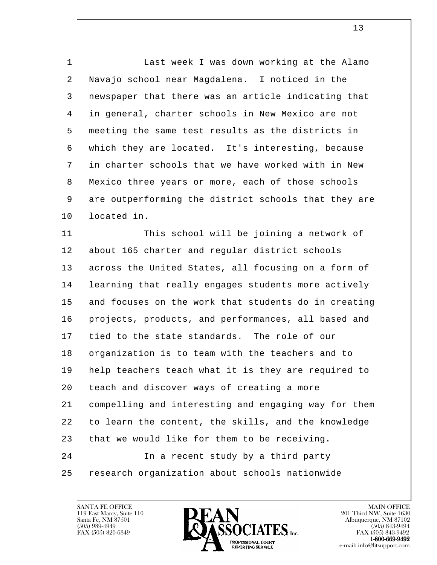1 | Last week I was down working at the Alamo 2 Navajo school near Magdalena. I noticed in the 3 newspaper that there was an article indicating that 4 in general, charter schools in New Mexico are not 5 meeting the same test results as the districts in 6 which they are located. It's interesting, because 7 in charter schools that we have worked with in New 8 | Mexico three years or more, each of those schools 9 are outperforming the district schools that they are 10 located in.

l 11 This school will be joining a network of 12 | about 165 charter and regular district schools 13 across the United States, all focusing on a form of 14 learning that really engages students more actively 15 and focuses on the work that students do in creating 16 projects, products, and performances, all based and 17 tied to the state standards. The role of our 18 organization is to team with the teachers and to 19 help teachers teach what it is they are required to 20 teach and discover ways of creating a more 21 compelling and interesting and engaging way for them 22 to learn the content, the skills, and the knowledge 23 that we would like for them to be receiving. 24 In a recent study by a third party 25 research organization about schools nationwide

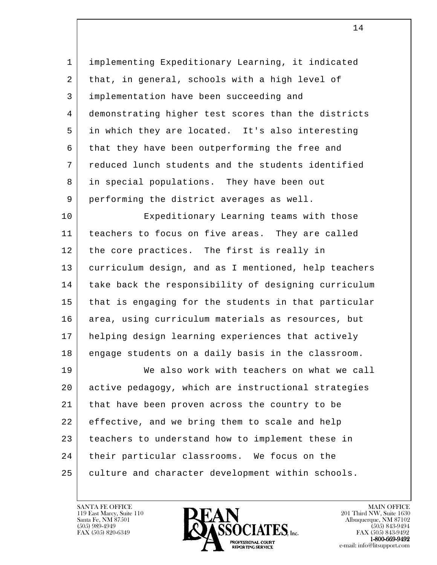1 implementing Expeditionary Learning, it indicated 2 that, in general, schools with a high level of 3 implementation have been succeeding and 4 demonstrating higher test scores than the districts 5 in which they are located. It's also interesting 6 that they have been outperforming the free and 7 reduced lunch students and the students identified 8 in special populations. They have been out 9 performing the district averages as well. 10 Expeditionary Learning teams with those 11 teachers to focus on five areas. They are called 12 the core practices. The first is really in 13 curriculum design, and as I mentioned, help teachers 14 | take back the responsibility of designing curriculum 15 that is engaging for the students in that particular 16 area, using curriculum materials as resources, but 17 helping design learning experiences that actively

l 19 We also work with teachers on what we call 20 active pedagogy, which are instructional strategies 21 that have been proven across the country to be 22 effective, and we bring them to scale and help 23 teachers to understand how to implement these in 24 | their particular classrooms. We focus on the 25 culture and character development within schools.

18 engage students on a daily basis in the classroom.

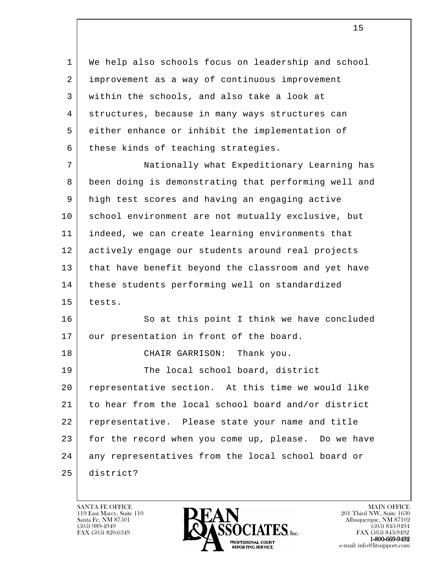1 | We help also schools focus on leadership and school 2 improvement as a way of continuous improvement 3 within the schools, and also take a look at 4 structures, because in many ways structures can 5 either enhance or inhibit the implementation of 6 | these kinds of teaching strategies.

l 7 Nationally what Expeditionary Learning has 8 been doing is demonstrating that performing well and 9 high test scores and having an engaging active 10 | school environment are not mutually exclusive, but 11 indeed, we can create learning environments that 12 actively engage our students around real projects 13 that have benefit beyond the classroom and yet have 14 | these students performing well on standardized 15 tests. 16 So at this point I think we have concluded 17 | our presentation in front of the board. 18 CHAIR GARRISON: Thank you. 19 The local school board, district 20 representative section. At this time we would like 21 to hear from the local school board and/or district 22 representative. Please state your name and title 23 for the record when you come up, please. Do we have 24 any representatives from the local school board or 25 district?

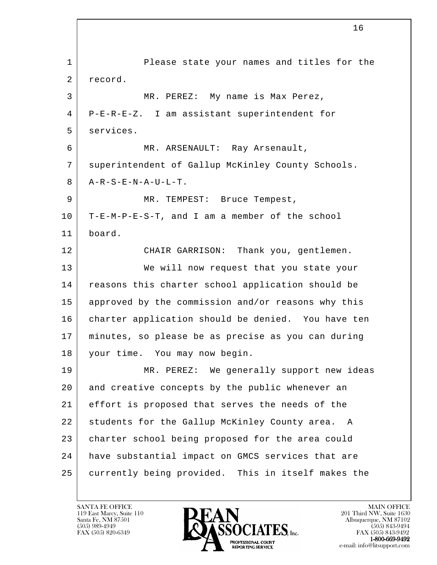l 1 Please state your names and titles for the 2 record. 3 | MR. PEREZ: My name is Max Perez, 4 P-E-R-E-Z. I am assistant superintendent for 5 services. 6 MR. ARSENAULT: Ray Arsenault, 7 superintendent of Gallup McKinley County Schools.  $8$  |  $A-R-S-E-N-A-U-L-T$ . 9 | MR. TEMPEST: Bruce Tempest, 10 T-E-M-P-E-S-T, and I am a member of the school 11 board. 12 CHAIR GARRISON: Thank you, gentlemen. 13 We will now request that you state your 14 reasons this charter school application should be 15 approved by the commission and/or reasons why this 16 charter application should be denied. You have ten 17 minutes, so please be as precise as you can during 18 your time. You may now begin. 19 | MR. PEREZ: We generally support new ideas 20 and creative concepts by the public whenever an 21 effort is proposed that serves the needs of the 22 students for the Gallup McKinley County area. A 23 charter school being proposed for the area could 24 have substantial impact on GMCS services that are 25 currently being provided. This in itself makes the

119 East Marcy, Suite 110<br>Santa Fe, NM 87501

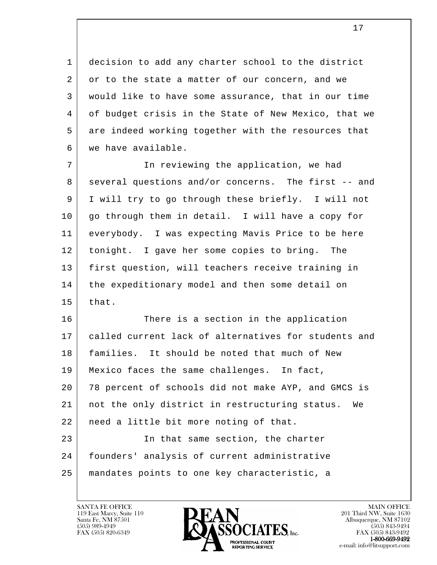1 decision to add any charter school to the district 2 or to the state a matter of our concern, and we 3 would like to have some assurance, that in our time 4 of budget crisis in the State of New Mexico, that we 5 are indeed working together with the resources that 6 we have available.

 7 In reviewing the application, we had 8 several questions and/or concerns. The first -- and 9 I will try to go through these briefly. I will not 10 | go through them in detail. I will have a copy for 11 everybody. I was expecting Mavis Price to be here 12 | tonight. I gave her some copies to bring. The 13 first question, will teachers receive training in 14 | the expeditionary model and then some detail on  $15$  that.

l 16 There is a section in the application 17 called current lack of alternatives for students and 18 | families. It should be noted that much of New 19 Mexico faces the same challenges. In fact, 20 78 percent of schools did not make AYP, and GMCS is 21 not the only district in restructuring status. We 22 | need a little bit more noting of that. 23 | The that same section, the charter 24 founders' analysis of current administrative 25 mandates points to one key characteristic, a

119 East Marcy, Suite 110<br>Santa Fe, NM 87501



FAX (505) 843-9492 e-mail: info@litsupport.com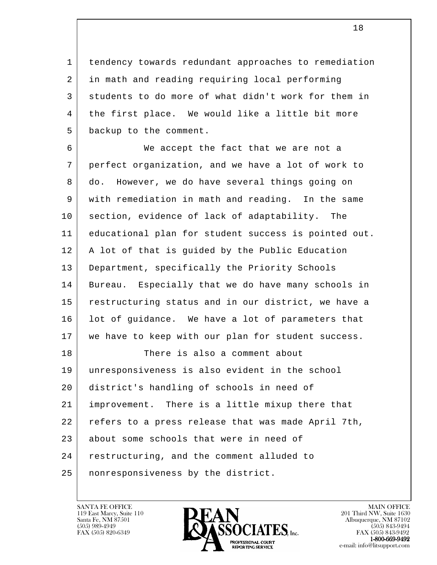1 tendency towards redundant approaches to remediation 2 in math and reading requiring local performing 3 students to do more of what didn't work for them in 4 | the first place. We would like a little bit more 5 backup to the comment.

l 6 We accept the fact that we are not a 7 perfect organization, and we have a lot of work to 8 do. However, we do have several things going on 9 with remediation in math and reading. In the same 10 section, evidence of lack of adaptability. The 11 educational plan for student success is pointed out. 12 | A lot of that is guided by the Public Education 13 Department, specifically the Priority Schools 14 Bureau. Especially that we do have many schools in 15 restructuring status and in our district, we have a 16 | lot of guidance. We have a lot of parameters that 17 we have to keep with our plan for student success. 18 There is also a comment about 19 unresponsiveness is also evident in the school 20 district's handling of schools in need of 21 improvement. There is a little mixup there that 22 refers to a press release that was made April 7th, 23 about some schools that were in need of 24 restructuring, and the comment alluded to 25 nonresponsiveness by the district.

119 East Marcy, Suite 110<br>Santa Fe, NM 87501



FAX (505) 843-9492 e-mail: info@litsupport.com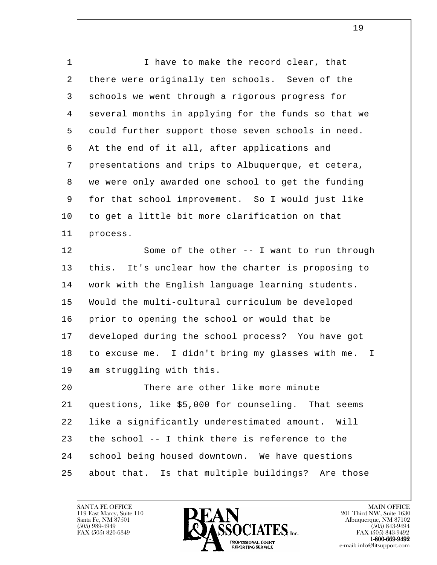l 1 I have to make the record clear, that 2 there were originally ten schools. Seven of the 3 schools we went through a rigorous progress for 4 several months in applying for the funds so that we 5 could further support those seven schools in need. 6 At the end of it all, after applications and 7 presentations and trips to Albuquerque, et cetera, 8 we were only awarded one school to get the funding 9 for that school improvement. So I would just like 10 to get a little bit more clarification on that 11 process. 12 Some of the other -- I want to run through 13 this. It's unclear how the charter is proposing to 14 work with the English language learning students. 15 Would the multi-cultural curriculum be developed 16 prior to opening the school or would that be 17 developed during the school process? You have got 18 to excuse me. I didn't bring my glasses with me. I 19 am struggling with this. 20 There are other like more minute 21 questions, like \$5,000 for counseling. That seems 22 like a significantly underestimated amount. Will 23 the school -- I think there is reference to the 24 school being housed downtown. We have questions 25 about that. Is that multiple buildings? Are those

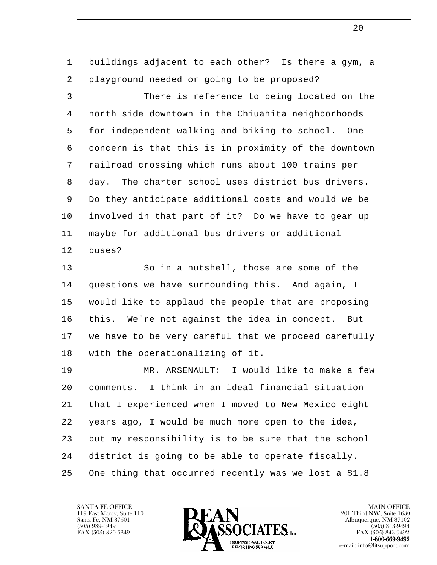| 1  | buildings adjacent to each other? Is there a gym, a  |
|----|------------------------------------------------------|
| 2  | playground needed or going to be proposed?           |
| 3  | There is reference to being located on the           |
| 4  | north side downtown in the Chiuahita neighborhoods   |
| 5  | for independent walking and biking to school. One    |
| 6  | concern is that this is in proximity of the downtown |
| 7  | railroad crossing which runs about 100 trains per    |
| 8  | day. The charter school uses district bus drivers.   |
| 9  | Do they anticipate additional costs and would we be  |
| 10 | involved in that part of it? Do we have to gear up   |
| 11 | maybe for additional bus drivers or additional       |
| 12 | buses?                                               |
| 13 | So in a nutshell, those are some of the              |
| 14 | questions we have surrounding this. And again, I     |
| 15 | would like to applaud the people that are proposing  |
| 16 | this. We're not against the idea in concept. But     |
| 17 | we have to be very careful that we proceed carefully |
| 18 | with the operationalizing of it.                     |
| 19 | MR. ARSENAULT: I would like to make a few            |
| 20 | comments. I think in an ideal financial situation    |
| 21 | that I experienced when I moved to New Mexico eight  |
| 22 | years ago, I would be much more open to the idea,    |
| 23 | but my responsibility is to be sure that the school  |
| 24 | district is going to be able to operate fiscally.    |
| 25 | One thing that occurred recently was we lost a \$1.8 |
|    |                                                      |

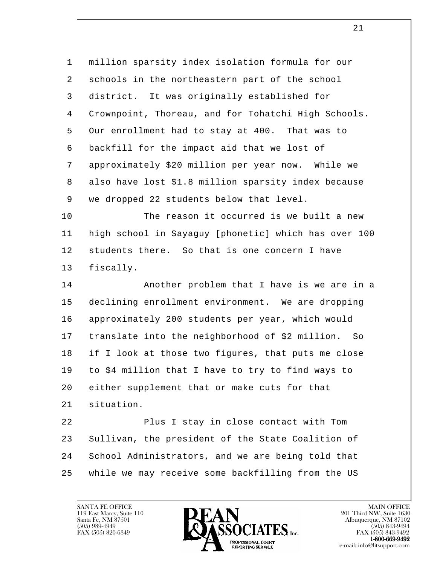1 million sparsity index isolation formula for our 2 schools in the northeastern part of the school 3 district. It was originally established for 4 Crownpoint, Thoreau, and for Tohatchi High Schools. 5 Our enrollment had to stay at 400. That was to 6 backfill for the impact aid that we lost of 7 approximately \$20 million per year now. While we 8 also have lost \$1.8 million sparsity index because 9 | we dropped 22 students below that level. 10 The reason it occurred is we built a new

 11 high school in Sayaguy [phonetic] which has over 100 12 students there. So that is one concern I have 13 fiscally.

14 | Another problem that I have is we are in a 15 declining enrollment environment. We are dropping 16 approximately 200 students per year, which would 17 translate into the neighborhood of \$2 million. So 18 if I look at those two figures, that puts me close 19 to \$4 million that I have to try to find ways to 20 either supplement that or make cuts for that 21 situation.

l 22 Plus I stay in close contact with Tom 23 Sullivan, the president of the State Coalition of 24 School Administrators, and we are being told that 25 while we may receive some backfilling from the US

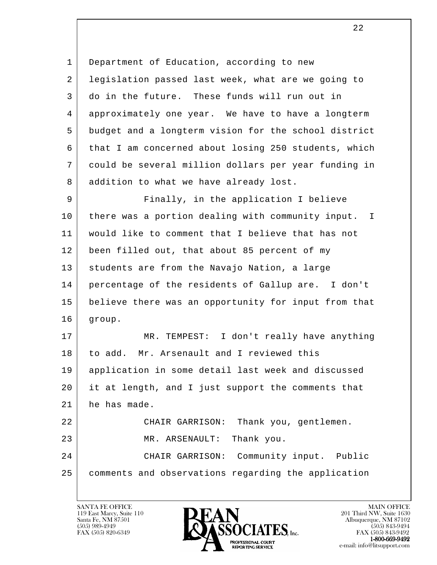l 1 Department of Education, according to new 2 legislation passed last week, what are we going to 3 do in the future. These funds will run out in 4 approximately one year. We have to have a longterm 5 budget and a longterm vision for the school district 6 that I am concerned about losing 250 students, which 7 could be several million dollars per year funding in 8 addition to what we have already lost. 9 Finally, in the application I believe 10 there was a portion dealing with community input. I 11 would like to comment that I believe that has not 12 been filled out, that about 85 percent of my 13 students are from the Navajo Nation, a large 14 percentage of the residents of Gallup are. I don't 15 believe there was an opportunity for input from that 16 group. 17 MR. TEMPEST: I don't really have anything 18 to add. Mr. Arsenault and I reviewed this 19 application in some detail last week and discussed 20 it at length, and I just support the comments that 21 he has made. 22 | CHAIR GARRISON: Thank you, gentlemen. 23 MR. ARSENAULT: Thank you. 24 CHAIR GARRISON: Community input. Public 25 comments and observations regarding the application

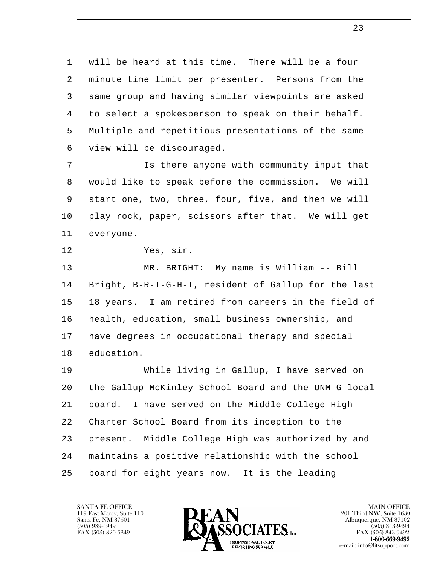1 will be heard at this time. There will be a four 2 minute time limit per presenter. Persons from the 3 same group and having similar viewpoints are asked 4 to select a spokesperson to speak on their behalf. 5 Multiple and repetitious presentations of the same 6 view will be discouraged. 7 Is there anyone with community input that

 8 would like to speak before the commission. We will 9 start one, two, three, four, five, and then we will 10 play rock, paper, scissors after that. We will get 11 everyone.

12 Yes, sir.

 13 MR. BRIGHT: My name is William -- Bill 14 Bright, B-R-I-G-H-T, resident of Gallup for the last 15 18 years. I am retired from careers in the field of 16 | health, education, small business ownership, and 17 have degrees in occupational therapy and special 18 education.

l 19 While living in Gallup, I have served on 20 the Gallup McKinley School Board and the UNM-G local 21 board. I have served on the Middle College High 22 Charter School Board from its inception to the 23 present. Middle College High was authorized by and 24 maintains a positive relationship with the school 25 board for eight years now. It is the leading

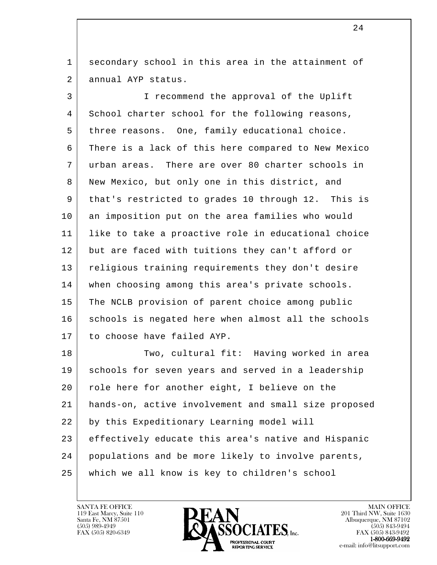1 secondary school in this area in the attainment of 2 annual AYP status.

 3 I recommend the approval of the Uplift 4 School charter school for the following reasons, 5 three reasons. One, family educational choice. 6 There is a lack of this here compared to New Mexico 7 urban areas. There are over 80 charter schools in 8 New Mexico, but only one in this district, and 9 that's restricted to grades 10 through 12. This is 10 an imposition put on the area families who would 11 like to take a proactive role in educational choice 12 but are faced with tuitions they can't afford or 13 religious training requirements they don't desire 14 when choosing among this area's private schools. 15 The NCLB provision of parent choice among public 16 schools is negated here when almost all the schools 17 to choose have failed AYP.

l 18 Two, cultural fit: Having worked in area 19 schools for seven years and served in a leadership 20 | role here for another eight, I believe on the 21 hands-on, active involvement and small size proposed 22 by this Expeditionary Learning model will 23 effectively educate this area's native and Hispanic 24 populations and be more likely to involve parents, 25 which we all know is key to children's school

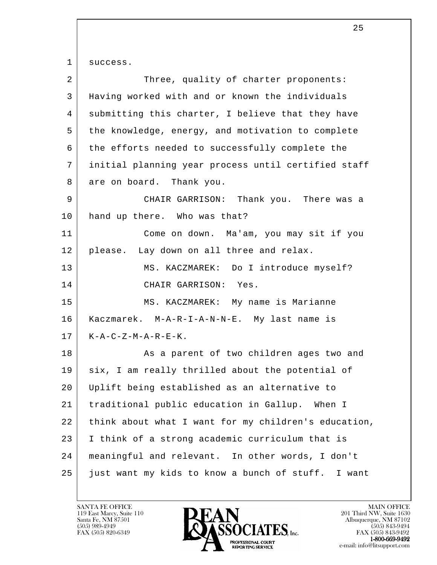l 1 success. 2 Three, quality of charter proponents: 3 Having worked with and or known the individuals 4 submitting this charter, I believe that they have 5 the knowledge, energy, and motivation to complete 6 the efforts needed to successfully complete the 7 initial planning year process until certified staff 8 are on board. Thank you. 9 CHAIR GARRISON: Thank you. There was a 10 hand up there. Who was that? 11 Come on down. Ma'am, you may sit if you 12 please. Lay down on all three and relax. 13 MS. KACZMAREK: Do I introduce myself? 14 CHAIR GARRISON: Yes. 15 | MS. KACZMAREK: My name is Marianne 16 Kaczmarek. M-A-R-I-A-N-N-E. My last name is  $17$  | K-A-C-Z-M-A-R-E-K. 18 | Referent of two children ages two and 19 six, I am really thrilled about the potential of 20 Uplift being established as an alternative to 21 traditional public education in Gallup. When I 22 think about what I want for my children's education, 23 | I think of a strong academic curriculum that is 24 meaningful and relevant. In other words, I don't 25 just want my kids to know a bunch of stuff. I want

119 East Marcy, Suite 110<br>Santa Fe, NM 87501

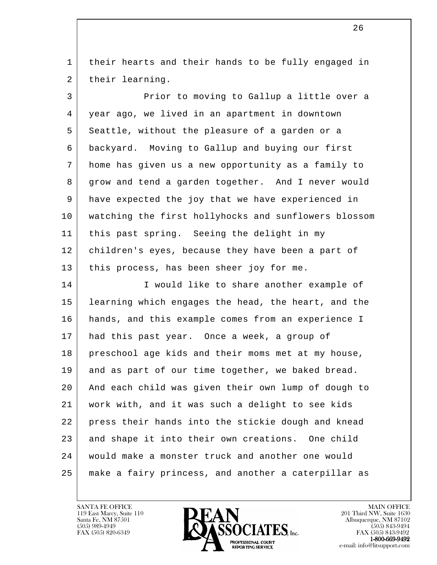1 | their hearts and their hands to be fully engaged in 2 | their learning.

 3 Prior to moving to Gallup a little over a 4 year ago, we lived in an apartment in downtown 5 Seattle, without the pleasure of a garden or a 6 backyard. Moving to Gallup and buying our first 7 home has given us a new opportunity as a family to 8 grow and tend a garden together. And I never would 9 have expected the joy that we have experienced in 10 watching the first hollyhocks and sunflowers blossom 11 this past spring. Seeing the delight in my 12 | children's eyes, because they have been a part of 13 | this process, has been sheer joy for me. 14 I would like to share another example of 15 learning which engages the head, the heart, and the 16 hands, and this example comes from an experience I 17 had this past year. Once a week, a group of 18 preschool age kids and their moms met at my house, 19 and as part of our time together, we baked bread.

l 20 And each child was given their own lump of dough to 21 work with, and it was such a delight to see kids 22 press their hands into the stickie dough and knead 23 | and shape it into their own creations. One child 24 would make a monster truck and another one would 25 make a fairy princess, and another a caterpillar as



FAX (505) 843-9492 e-mail: info@litsupport.com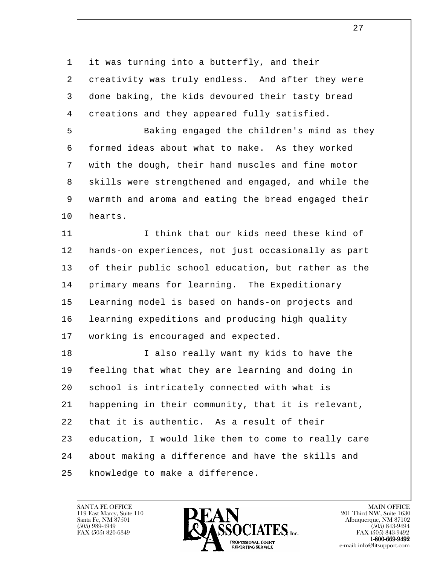l 1 it was turning into a butterfly, and their 2 creativity was truly endless. And after they were 3 done baking, the kids devoured their tasty bread 4 creations and they appeared fully satisfied. 5 Baking engaged the children's mind as they 6 formed ideas about what to make. As they worked 7 with the dough, their hand muscles and fine motor 8 skills were strengthened and engaged, and while the 9 warmth and aroma and eating the bread engaged their 10 hearts. 11 I think that our kids need these kind of 12 hands-on experiences, not just occasionally as part 13 of their public school education, but rather as the 14 | primary means for learning. The Expeditionary 15 Learning model is based on hands-on projects and 16 learning expeditions and producing high quality 17 working is encouraged and expected. 18 | Talso really want my kids to have the 19 feeling that what they are learning and doing in 20 | school is intricately connected with what is 21 happening in their community, that it is relevant, 22 that it is authentic. As a result of their 23 education, I would like them to come to really care 24 about making a difference and have the skills and 25 | knowledge to make a difference.

27

119 East Marcy, Suite 110<br>Santa Fe, NM 87501



FAX (505) 843-9492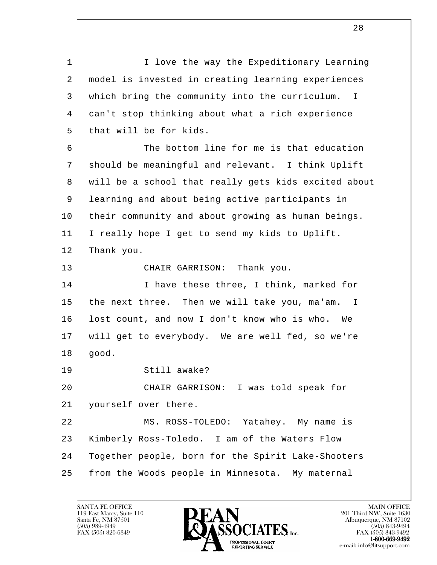l 1 I love the way the Expeditionary Learning 2 model is invested in creating learning experiences 3 which bring the community into the curriculum. I 4 can't stop thinking about what a rich experience 5 that will be for kids. 6 The bottom line for me is that education 7 should be meaningful and relevant. I think Uplift 8 will be a school that really gets kids excited about 9 learning and about being active participants in 10 their community and about growing as human beings. 11 I really hope I get to send my kids to Uplift. 12 Thank you. 13 CHAIR GARRISON: Thank you. 14 I have these three, I think, marked for 15 the next three. Then we will take you, ma'am. I 16 lost count, and now I don't know who is who. We 17 will get to everybody. We are well fed, so we're 18 good. 19 Still awake? 20 CHAIR GARRISON: I was told speak for 21 | yourself over there. 22 MS. ROSS-TOLEDO: Yatahey. My name is 23 Kimberly Ross-Toledo. I am of the Waters Flow 24 Together people, born for the Spirit Lake-Shooters 25 from the Woods people in Minnesota. My maternal

119 East Marcy, Suite 110<br>Santa Fe, NM 87501



FAX (505) 843-9492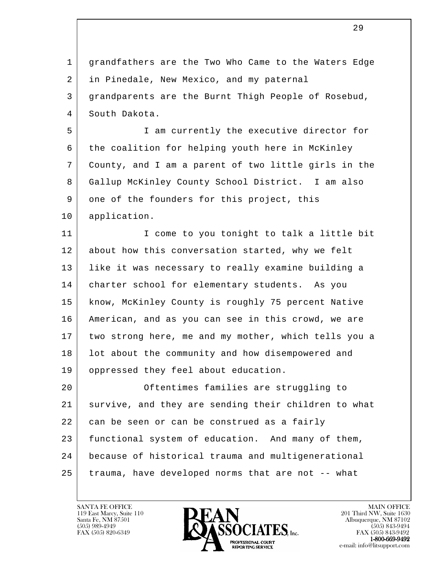1 grandfathers are the Two Who Came to the Waters Edge 2 in Pinedale, New Mexico, and my paternal 3 grandparents are the Burnt Thigh People of Rosebud, 4 South Dakota. 5 I am currently the executive director for

 6 the coalition for helping youth here in McKinley 7 County, and I am a parent of two little girls in the 8 Gallup McKinley County School District. I am also 9 one of the founders for this project, this 10 application.

11 | I come to you tonight to talk a little bit 12 about how this conversation started, why we felt 13 like it was necessary to really examine building a 14 | charter school for elementary students. As you 15 | know, McKinley County is roughly 75 percent Native 16 American, and as you can see in this crowd, we are 17 two strong here, me and my mother, which tells you a 18 | lot about the community and how disempowered and 19 | oppressed they feel about education.

l 20 Oftentimes families are struggling to 21 survive, and they are sending their children to what 22 can be seen or can be construed as a fairly 23 functional system of education. And many of them, 24 because of historical trauma and multigenerational 25 trauma, have developed norms that are not -- what

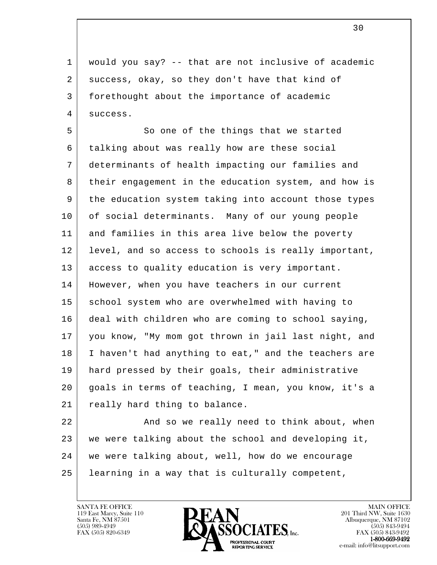1 would you say? -- that are not inclusive of academic 2 success, okay, so they don't have that kind of 3 forethought about the importance of academic 4 success.

5 So one of the things that we started 6 talking about was really how are these social 7 determinants of health impacting our families and 8 their engagement in the education system, and how is 9 the education system taking into account those types 10 of social determinants. Many of our young people 11 and families in this area live below the poverty 12 | level, and so access to schools is really important, 13 access to quality education is very important. 14 | However, when you have teachers in our current 15 school system who are overwhelmed with having to 16 deal with children who are coming to school saying, 17 you know, "My mom got thrown in jail last night, and 18 I haven't had anything to eat," and the teachers are 19 hard pressed by their goals, their administrative 20 goals in terms of teaching, I mean, you know, it's a 21 | really hard thing to balance.

l 22 and so we really need to think about, when 23 | we were talking about the school and developing it, 24 we were talking about, well, how do we encourage 25 learning in a way that is culturally competent,

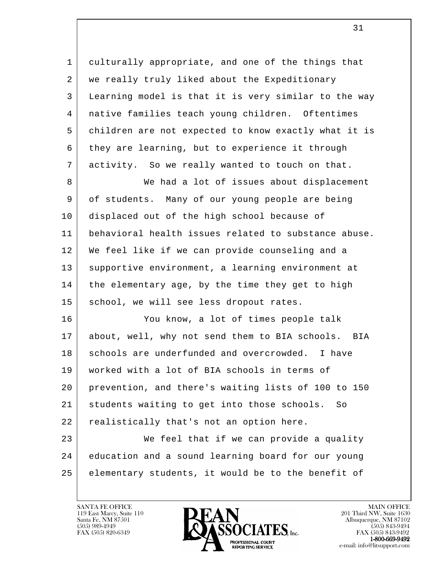1 culturally appropriate, and one of the things that 2 we really truly liked about the Expeditionary 3 Learning model is that it is very similar to the way 4 native families teach young children. Oftentimes 5 children are not expected to know exactly what it is 6 they are learning, but to experience it through 7 activity. So we really wanted to touch on that.

8 We had a lot of issues about displacement 9 of students. Many of our young people are being 10 displaced out of the high school because of 11 behavioral health issues related to substance abuse. 12 We feel like if we can provide counseling and a 13 supportive environment, a learning environment at 14 | the elementary age, by the time they get to high 15 | school, we will see less dropout rates.

 16 You know, a lot of times people talk 17 about, well, why not send them to BIA schools. BIA 18 schools are underfunded and overcrowded. I have 19 worked with a lot of BIA schools in terms of 20 prevention, and there's waiting lists of 100 to 150 21 students waiting to get into those schools. So 22 | realistically that's not an option here. 23 We feel that if we can provide a quality 24 education and a sound learning board for our young

 25 elementary students, it would be to the benefit of

l

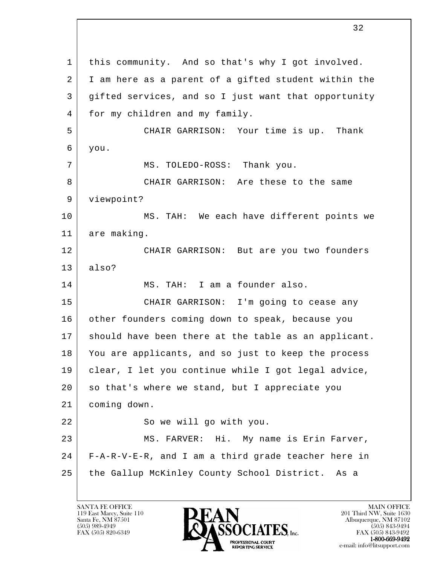l 1 | this community. And so that's why I got involved. 2 I am here as a parent of a gifted student within the 3 gifted services, and so I just want that opportunity 4 | for my children and my family. 5 CHAIR GARRISON: Your time is up. Thank 6 you. 7 | MS. TOLEDO-ROSS: Thank you. 8 CHAIR GARRISON: Are these to the same 9 viewpoint? 10 | MS. TAH: We each have different points we 11 are making. 12 CHAIR GARRISON: But are you two founders 13 also? 14 MS. TAH: I am a founder also. 15 CHAIR GARRISON: I'm going to cease any 16 other founders coming down to speak, because you 17 should have been there at the table as an applicant. 18 You are applicants, and so just to keep the process 19 clear, I let you continue while I got legal advice, 20 so that's where we stand, but I appreciate you 21 coming down. 22 So we will go with you. 23 | MS. FARVER: Hi. My name is Erin Farver, 24 F-A-R-V-E-R, and I am a third grade teacher here in 25 the Gallup McKinley County School District. As a

119 East Marcy, Suite 110<br>Santa Fe, NM 87501

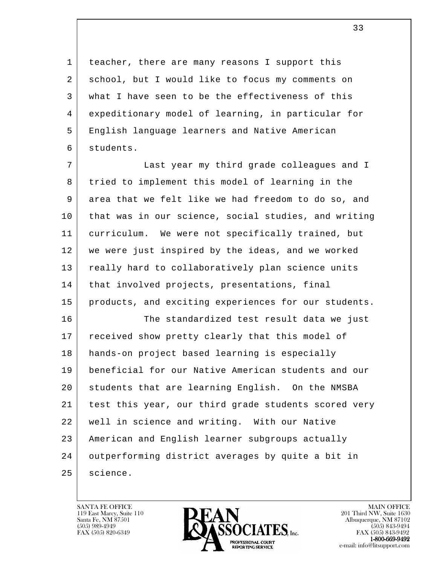1 teacher, there are many reasons I support this 2 school, but I would like to focus my comments on 3 what I have seen to be the effectiveness of this 4 expeditionary model of learning, in particular for 5 English language learners and Native American 6 students.

7 | Cast year my third grade colleagues and I 8 tried to implement this model of learning in the 9 area that we felt like we had freedom to do so, and 10 that was in our science, social studies, and writing 11 curriculum. We were not specifically trained, but 12 we were just inspired by the ideas, and we worked 13 really hard to collaboratively plan science units 14 | that involved projects, presentations, final 15 | products, and exciting experiences for our students. 16 The standardized test result data we just

l 17 | received show pretty clearly that this model of 18 hands-on project based learning is especially 19 beneficial for our Native American students and our 20 students that are learning English. On the NMSBA 21 test this year, our third grade students scored very 22 well in science and writing. With our Native 23 American and English learner subgroups actually 24 outperforming district averages by quite a bit in 25 | science.

119 East Marcy, Suite 110<br>Santa Fe, NM 87501



FAX (505) 843-9492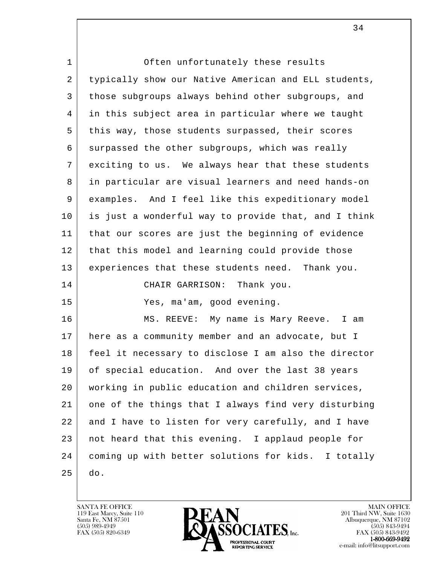| $\mathbf 1$ | Often unfortunately these results                    |
|-------------|------------------------------------------------------|
| 2           | typically show our Native American and ELL students, |
| 3           | those subgroups always behind other subgroups, and   |
| 4           | in this subject area in particular where we taught   |
| 5           | this way, those students surpassed, their scores     |
| 6           | surpassed the other subgroups, which was really      |
| 7           | exciting to us. We always hear that these students   |
| 8           | in particular are visual learners and need hands-on  |
| 9           | examples. And I feel like this expeditionary model   |
| 10          | is just a wonderful way to provide that, and I think |
| 11          | that our scores are just the beginning of evidence   |
| 12          | that this model and learning could provide those     |
| 13          | experiences that these students need. Thank you.     |
| 14          | CHAIR GARRISON:<br>Thank you.                        |
| 15          | Yes, ma'am, good evening.                            |
| 16          | MS. REEVE: My name is Mary Reeve. I am               |
| 17          | here as a community member and an advocate, but I    |
| 18          | feel it necessary to disclose I am also the director |
| 19          | of special education. And over the last 38 years     |
| 20          | working in public education and children services,   |
| 21          | one of the things that I always find very disturbing |
| 22          | and I have to listen for very carefully, and I have  |
| 23          | not heard that this evening. I applaud people for    |
| 24          | coming up with better solutions for kids. I totally  |
| 25          | do.                                                  |

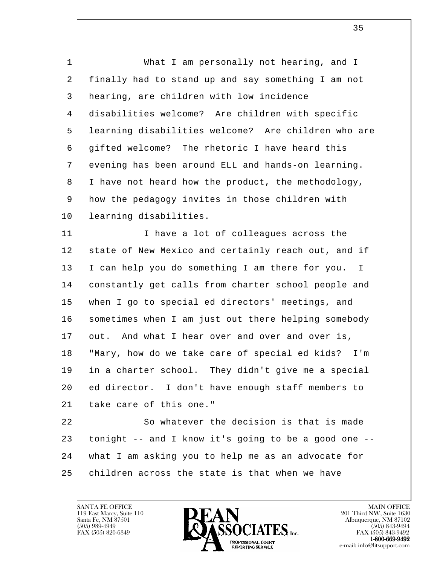l 1 What I am personally not hearing, and I 2 finally had to stand up and say something I am not 3 hearing, are children with low incidence 4 disabilities welcome? Are children with specific 5 learning disabilities welcome? Are children who are 6 gifted welcome? The rhetoric I have heard this 7 evening has been around ELL and hands-on learning. 8 I have not heard how the product, the methodology, 9 how the pedagogy invites in those children with 10 learning disabilities. 11 I lave a lot of colleagues across the 12 state of New Mexico and certainly reach out, and if 13 I can help you do something I am there for you. I 14 constantly get calls from charter school people and 15 when I go to special ed directors' meetings, and 16 | sometimes when I am just out there helping somebody 17 out. And what I hear over and over and over is, 18 "Mary, how do we take care of special ed kids? I'm 19 in a charter school. They didn't give me a special 20 ed director. I don't have enough staff members to 21 take care of this one." 22 So whatever the decision is that is made 23 tonight -- and I know it's going to be a good one -- 24 what I am asking you to help me as an advocate for 25 children across the state is that when we have

119 East Marcy, Suite 110<br>Santa Fe, NM 87501



FAX (505) 843-9492 e-mail: info@litsupport.com

 $\overline{\phantom{a}}$  35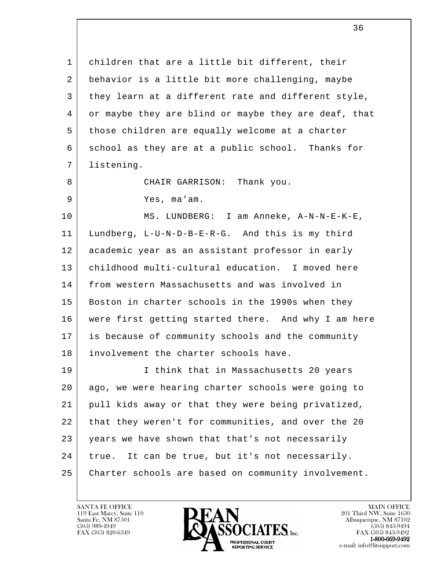l 1 children that are a little bit different, their 2 behavior is a little bit more challenging, maybe 3 they learn at a different rate and different style, 4 or maybe they are blind or maybe they are deaf, that 5 those children are equally welcome at a charter 6 school as they are at a public school. Thanks for 7 listening. 8 CHAIR GARRISON: Thank you. 9 Yes, ma'am. 10 MS. LUNDBERG: I am Anneke, A-N-N-E-K-E, 11 Lundberg, L-U-N-D-B-E-R-G. And this is my third 12 academic year as an assistant professor in early 13 childhood multi-cultural education. I moved here 14 from western Massachusetts and was involved in 15 Boston in charter schools in the 1990s when they 16 were first getting started there. And why I am here 17 is because of community schools and the community 18 involvement the charter schools have. 19 I think that in Massachusetts 20 years 20 ago, we were hearing charter schools were going to 21 pull kids away or that they were being privatized, 22 that they weren't for communities, and over the 20 23 years we have shown that that's not necessarily 24 true. It can be true, but it's not necessarily. 25 Charter schools are based on community involvement.

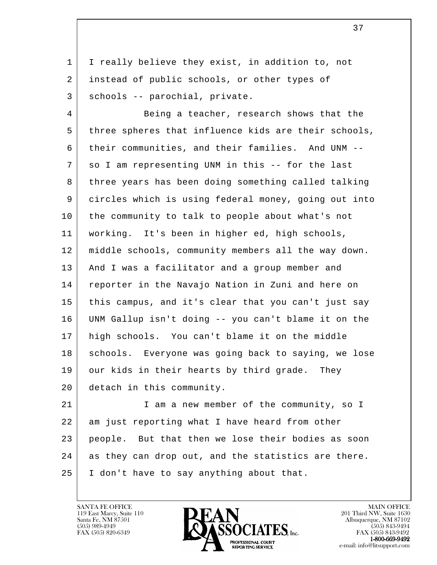1 | I really believe they exist, in addition to, not 2 instead of public schools, or other types of 3 | schools -- parochial, private.

4 Being a teacher, research shows that the 5 three spheres that influence kids are their schools, 6 their communities, and their families. And UNM -- 7 so I am representing UNM in this -- for the last 8 three years has been doing something called talking 9 circles which is using federal money, going out into 10 the community to talk to people about what's not 11 working. It's been in higher ed, high schools, 12 middle schools, community members all the way down. 13 And I was a facilitator and a group member and 14 reporter in the Navajo Nation in Zuni and here on 15 this campus, and it's clear that you can't just say 16 UNM Gallup isn't doing -- you can't blame it on the 17 high schools. You can't blame it on the middle 18 | schools. Everyone was going back to saying, we lose 19 our kids in their hearts by third grade. They 20 detach in this community.

l 21 | I am a new member of the community, so I 22 am just reporting what I have heard from other 23 people. But that then we lose their bodies as soon 24 as they can drop out, and the statistics are there. 25 I don't have to say anything about that.



FAX (505) 843-9492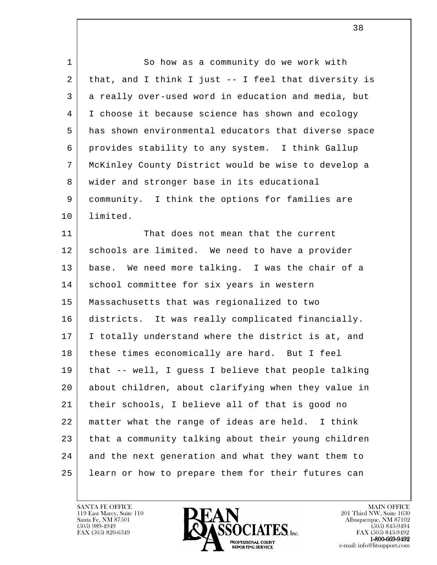| $\mathbf 1$ | So how as a community do we work with                |
|-------------|------------------------------------------------------|
| 2           | that, and I think I just -- I feel that diversity is |
| 3           | a really over-used word in education and media, but  |
| 4           | I choose it because science has shown and ecology    |
| 5           | has shown environmental educators that diverse space |
| 6           | provides stability to any system. I think Gallup     |
| 7           | McKinley County District would be wise to develop a  |
| 8           | wider and stronger base in its educational           |
| 9           | community. I think the options for families are      |
| 10          | limited.                                             |
| 11          | That does not mean that the current                  |
| 12          | schools are limited. We need to have a provider      |
| 13          | base. We need more talking. I was the chair of a     |
| 14          | school committee for six years in western            |
| 15          | Massachusetts that was regionalized to two           |
| 16          | districts. It was really complicated financially.    |
| 17          | I totally understand where the district is at, and   |
| 18          | these times economically are hard. But I feel        |
| 19          | that -- well, I guess I believe that people talking  |
| 20          | about children, about clarifying when they value in  |
| 21          | their schools, I believe all of that is good no      |
| 22          | matter what the range of ideas are held. I think     |
| 23          | that a community talking about their young children  |
| 24          | and the next generation and what they want them to   |
| 25          | learn or how to prepare them for their futures can   |

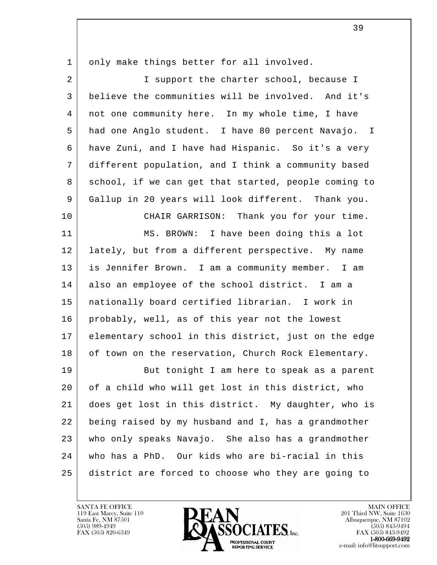| $\mathbf{1}$   | only make things better for all involved.            |
|----------------|------------------------------------------------------|
| $\overline{2}$ | I support the charter school, because I              |
| 3              | believe the communities will be involved. And it's   |
| $\overline{4}$ | not one community here. In my whole time, I have     |
| 5              | had one Anglo student. I have 80 percent Navajo. I   |
| 6              | have Zuni, and I have had Hispanic. So it's a very   |
| 7              | different population, and I think a community based  |
| 8              | school, if we can get that started, people coming to |
| 9              | Gallup in 20 years will look different. Thank you.   |
| 10             | CHAIR GARRISON: Thank you for your time.             |
| 11             | MS. BROWN: I have been doing this a lot              |
| 12             | lately, but from a different perspective. My name    |
| 13             | is Jennifer Brown. I am a community member. I am     |
| 14             | also an employee of the school district. I am a      |
| 15             | nationally board certified librarian. I work in      |
| 16             | probably, well, as of this year not the lowest       |
| 17             | elementary school in this district, just on the edge |
| 18             | of town on the reservation, Church Rock Elementary.  |
| 19             | But tonight I am here to speak as a parent           |
| 20             | of a child who will get lost in this district, who   |
| 21             | does get lost in this district. My daughter, who is  |
| 22             | being raised by my husband and I, has a grandmother  |
| 23             | who only speaks Navajo. She also has a grandmother   |
| 24             | who has a PhD. Our kids who are bi-racial in this    |
| 25             | district are forced to choose who they are going to  |

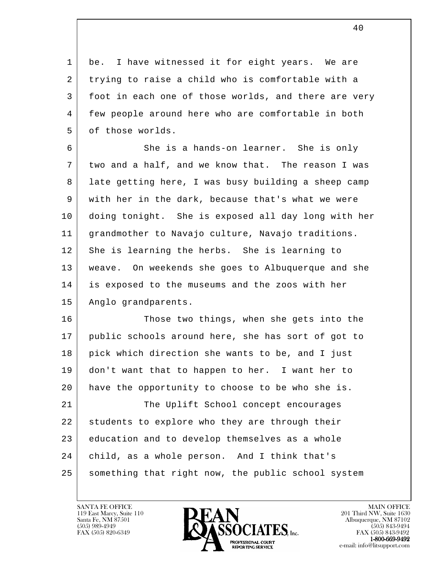1 be. I have witnessed it for eight years. We are 2 trying to raise a child who is comfortable with a 3 foot in each one of those worlds, and there are very 4 few people around here who are comfortable in both 5 of those worlds.

 6 She is a hands-on learner. She is only 7 two and a half, and we know that. The reason I was 8 late getting here, I was busy building a sheep camp 9 with her in the dark, because that's what we were 10 doing tonight. She is exposed all day long with her 11 grandmother to Navajo culture, Navajo traditions. 12 She is learning the herbs. She is learning to 13 weave. On weekends she goes to Albuquerque and she 14 is exposed to the museums and the zoos with her 15 Anglo grandparents.

16 Those two things, when she gets into the 17 public schools around here, she has sort of got to 18 pick which direction she wants to be, and I just 19 don't want that to happen to her. I want her to 20 have the opportunity to choose to be who she is. 21 The Uplift School concept encourages 22 students to explore who they are through their 23 education and to develop themselves as a whole

 25 something that right now, the public school system

24 child, as a whole person. And I think that's

119 East Marcy, Suite 110<br>Santa Fe, NM 87501

l



FAX (505) 843-9492 e-mail: info@litsupport.com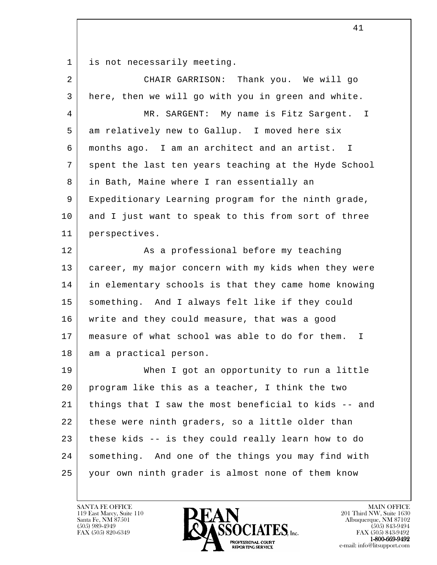1 is not necessarily meeting.

| $\overline{a}$ | CHAIR GARRISON: Thank you. We will go                           |
|----------------|-----------------------------------------------------------------|
| 3              | here, then we will go with you in green and white.              |
| 4              | MR. SARGENT: My name is Fitz Sargent. I                         |
| 5              | am relatively new to Gallup. I moved here six                   |
| 6              | months ago. I am an architect and an artist. I                  |
| 7              | spent the last ten years teaching at the Hyde School            |
| 8              | in Bath, Maine where I ran essentially an                       |
| 9              | Expeditionary Learning program for the ninth grade,             |
| 10             | and I just want to speak to this from sort of three             |
| 11             | perspectives.                                                   |
| 12             | As a professional before my teaching                            |
| 13             | career, my major concern with my kids when they were            |
| 14             | in elementary schools is that they came home knowing            |
| 15             | something. And I always felt like if they could                 |
| 16             | write and they could measure, that was a good                   |
| 17             | measure of what school was able to do for them.<br>$\mathbb{I}$ |
| 18             | am a practical person.                                          |
| 19             | When I got an opportunity to run a little                       |
| 20             | program like this as a teacher, I think the two                 |
| 21             | things that I saw the most beneficial to kids -- and            |
| 22             | these were ninth graders, so a little older than                |
| 23             | these kids -- is they could really learn how to do              |
| 24             | something. And one of the things you may find with              |
| 25             | your own ninth grader is almost none of them know               |

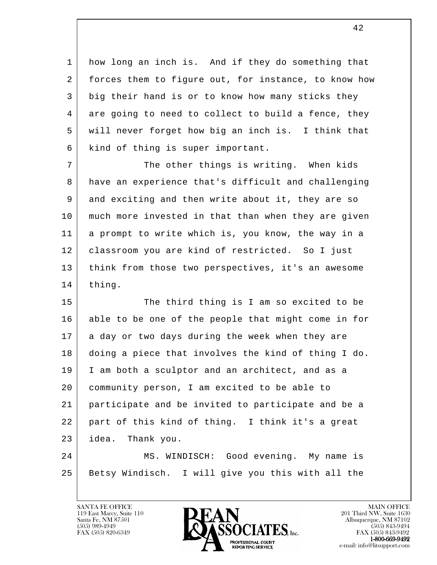1 how long an inch is. And if they do something that 2 forces them to figure out, for instance, to know how 3 big their hand is or to know how many sticks they 4 are going to need to collect to build a fence, they 5 will never forget how big an inch is. I think that 6 kind of thing is super important.

7 The other things is writing. When kids 8 have an experience that's difficult and challenging 9 and exciting and then write about it, they are so 10 much more invested in that than when they are given 11 a prompt to write which is, you know, the way in a 12 | classroom you are kind of restricted. So I just 13 think from those two perspectives, it's an awesome 14 | thing.

l 15 The third thing is I am so excited to be 16 able to be one of the people that might come in for 17 a day or two days during the week when they are 18 doing a piece that involves the kind of thing I do. 19 I am both a sculptor and an architect, and as a 20 community person, I am excited to be able to 21 participate and be invited to participate and be a 22 part of this kind of thing. I think it's a great 23 idea. Thank you. 24 MS. WINDISCH: Good evening. My name is

 25 Betsy Windisch. I will give you this with all the

119 East Marcy, Suite 110<br>Santa Fe, NM 87501

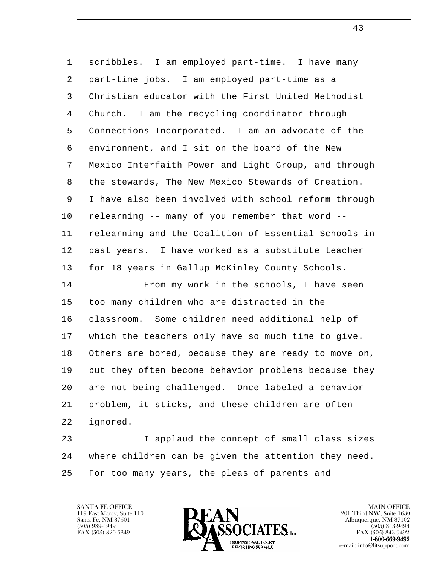| $\mathbf{1}$ | scribbles. I am employed part-time. I have many      |
|--------------|------------------------------------------------------|
| 2            | part-time jobs. I am employed part-time as a         |
| 3            | Christian educator with the First United Methodist   |
| 4            | Church. I am the recycling coordinator through       |
| 5            | Connections Incorporated. I am an advocate of the    |
| 6            | environment, and I sit on the board of the New       |
| 7            | Mexico Interfaith Power and Light Group, and through |
| 8            | the stewards, The New Mexico Stewards of Creation.   |
| 9            | I have also been involved with school reform through |
| 10           | relearning -- many of you remember that word --      |
| 11           | relearning and the Coalition of Essential Schools in |
| 12           | past years. I have worked as a substitute teacher    |
| 13           | for 18 years in Gallup McKinley County Schools.      |
| 14           | From my work in the schools, I have seen             |
| 15           | too many children who are distracted in the          |
| 16           | classroom. Some children need additional help of     |
| 17           | which the teachers only have so much time to give.   |
| 18           | Others are bored, because they are ready to move on, |
| 19           | but they often become behavior problems because they |
| 20           | are not being challenged. Once labeled a behavior    |
| 21           | problem, it sticks, and these children are often     |
| 22           | ignored.                                             |
| 23           | I applaud the concept of small class sizes           |
| 24           | where children can be given the attention they need. |
| 25           | For too many years, the pleas of parents and         |
|              |                                                      |

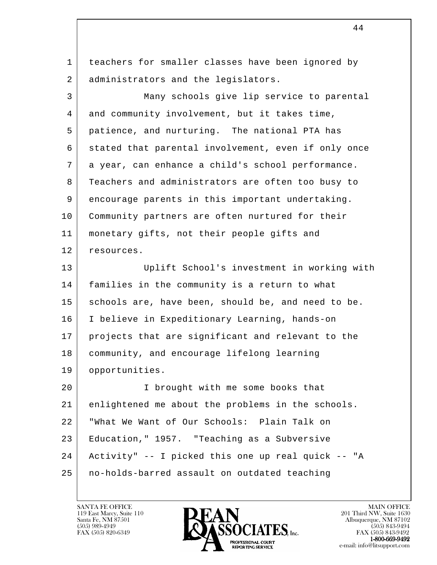1 | teachers for smaller classes have been ignored by 2 administrators and the legislators.

 3 Many schools give lip service to parental 4 and community involvement, but it takes time, 5 patience, and nurturing. The national PTA has 6 | stated that parental involvement, even if only once 7 a year, can enhance a child's school performance. 8 Teachers and administrators are often too busy to 9 encourage parents in this important undertaking. 10 Community partners are often nurtured for their 11 monetary gifts, not their people gifts and 12 resources. 13 Uplift School's investment in working with 14 families in the community is a return to what 15 schools are, have been, should be, and need to be. 16 I believe in Expeditionary Learning, hands-on 17 projects that are significant and relevant to the 18 community, and encourage lifelong learning

l 20 I brought with me some books that 21 enlightened me about the problems in the schools. 22 "What We Want of Our Schools: Plain Talk on 23 Education," 1957. "Teaching as a Subversive 24 Activity" -- I picked this one up real quick -- "A 25 no-holds-barred assault on outdated teaching

19 opportunities.



FAX (505) 843-9492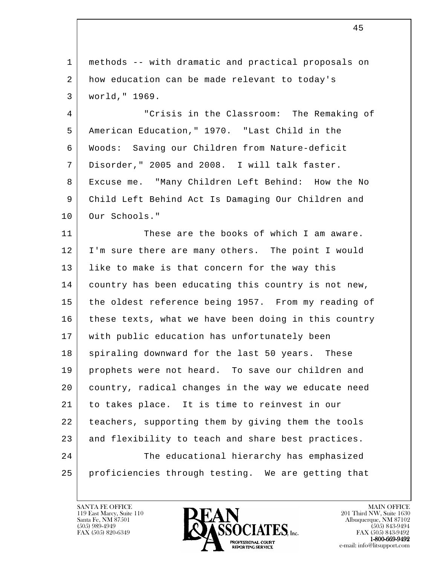l 1 methods -- with dramatic and practical proposals on 2 how education can be made relevant to today's 3 world," 1969. 4 "Crisis in the Classroom: The Remaking of 5 American Education," 1970. "Last Child in the 6 Woods: Saving our Children from Nature-deficit 7 Disorder," 2005 and 2008. I will talk faster. 8 Excuse me. "Many Children Left Behind: How the No 9 Child Left Behind Act Is Damaging Our Children and 10 Our Schools." 11 These are the books of which I am aware. 12 I'm sure there are many others. The point I would 13 | like to make is that concern for the way this 14 country has been educating this country is not new, 15 the oldest reference being 1957. From my reading of 16 these texts, what we have been doing in this country 17 with public education has unfortunately been 18 | spiraling downward for the last 50 years. These 19 prophets were not heard. To save our children and 20 country, radical changes in the way we educate need 21 to takes place. It is time to reinvest in our 22 teachers, supporting them by giving them the tools 23 and flexibility to teach and share best practices. 24 The educational hierarchy has emphasized 25 proficiencies through testing. We are getting that

45

119 East Marcy, Suite 110<br>Santa Fe, NM 87501

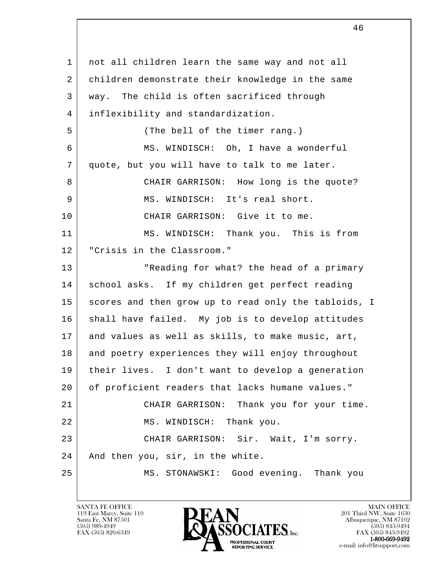l 1 | not all children learn the same way and not all 2 children demonstrate their knowledge in the same 3 way. The child is often sacrificed through 4 inflexibility and standardization. 5 (The bell of the timer rang.) 6 MS. WINDISCH: Oh, I have a wonderful 7 quote, but you will have to talk to me later. 8 CHAIR GARRISON: How long is the quote? 9 MS. WINDISCH: It's real short. 10 CHAIR GARRISON: Give it to me. 11 MS. WINDISCH: Thank you. This is from 12 | "Crisis in the Classroom." 13 | The Peading for what? the head of a primary 14 school asks. If my children get perfect reading 15 scores and then grow up to read only the tabloids, I 16 | shall have failed. My job is to develop attitudes 17 and values as well as skills, to make music, art, 18 and poetry experiences they will enjoy throughout 19 their lives. I don't want to develop a generation 20 of proficient readers that lacks humane values." 21 CHAIR GARRISON: Thank you for your time. 22 MS. WINDISCH: Thank you. 23 | CHAIR GARRISON: Sir. Wait, I'm sorry. 24 And then you, sir, in the white. 25 MS. STONAWSKI: Good evening. Thank you

119 East Marcy, Suite 110<br>Santa Fe, NM 87501

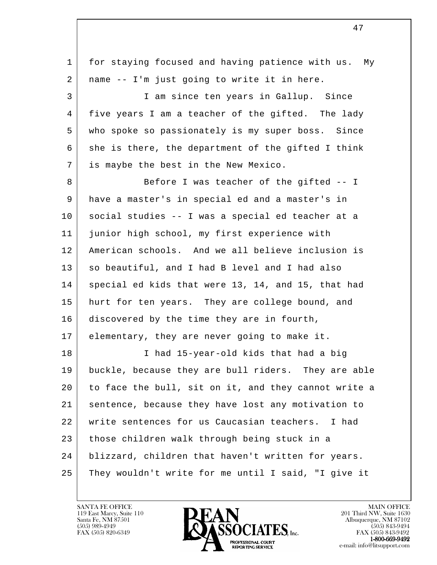| $\mathbf 1$ | for staying focused and having patience with us. My  |
|-------------|------------------------------------------------------|
| 2           | name -- I'm just going to write it in here.          |
| 3           | I am since ten years in Gallup. Since                |
| 4           | five years I am a teacher of the gifted. The lady    |
| 5           | who spoke so passionately is my super boss. Since    |
| 6           | she is there, the department of the gifted I think   |
| 7           | is maybe the best in the New Mexico.                 |
| 8           | Before I was teacher of the gifted -- I              |
| 9           | have a master's in special ed and a master's in      |
| 10          | social studies -- I was a special ed teacher at a    |
| 11          | junior high school, my first experience with         |
| 12          | American schools. And we all believe inclusion is    |
| 13          | so beautiful, and I had B level and I had also       |
| 14          | special ed kids that were 13, 14, and 15, that had   |
| 15          | hurt for ten years. They are college bound, and      |
| 16          | discovered by the time they are in fourth,           |
| 17          | elementary, they are never going to make it.         |
| 18          | I had 15-year-old kids that had a big                |
| 19          | buckle, because they are bull riders. They are able  |
| 20          | to face the bull, sit on it, and they cannot write a |
| 21          | sentence, because they have lost any motivation to   |
| 22          | write sentences for us Caucasian teachers. I had     |
| 23          | those children walk through being stuck in a         |
| 24          | blizzard, children that haven't written for years.   |
| 25          | They wouldn't write for me until I said, "I give it  |

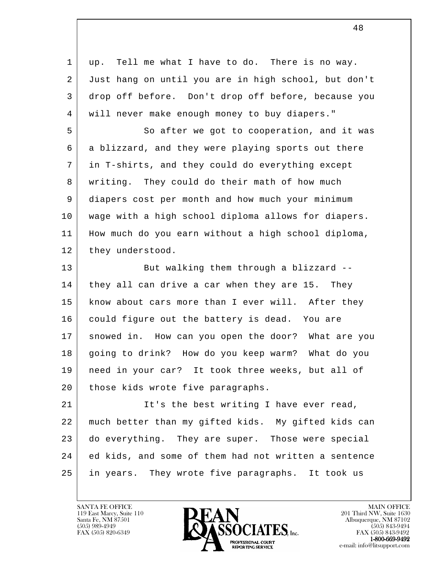l 1 | up. Tell me what I have to do. There is no way. 2 Just hang on until you are in high school, but don't 3 drop off before. Don't drop off before, because you 4 will never make enough money to buy diapers." 5 So after we got to cooperation, and it was 6 a blizzard, and they were playing sports out there 7 in T-shirts, and they could do everything except 8 writing. They could do their math of how much 9 diapers cost per month and how much your minimum 10 wage with a high school diploma allows for diapers. 11 How much do you earn without a high school diploma, 12 they understood. 13 But walking them through a blizzard --14 they all can drive a car when they are 15. They 15 | know about cars more than I ever will. After they 16 could figure out the battery is dead. You are 17 | snowed in. How can you open the door? What are you 18 going to drink? How do you keep warm? What do you 19 need in your car? It took three weeks, but all of 20 | those kids wrote five paragraphs. 21 | It's the best writing I have ever read, 22 much better than my gifted kids. My gifted kids can 23 do everything. They are super. Those were special 24 ed kids, and some of them had not written a sentence 25 in years. They wrote five paragraphs. It took us

119 East Marcy, Suite 110<br>Santa Fe, NM 87501

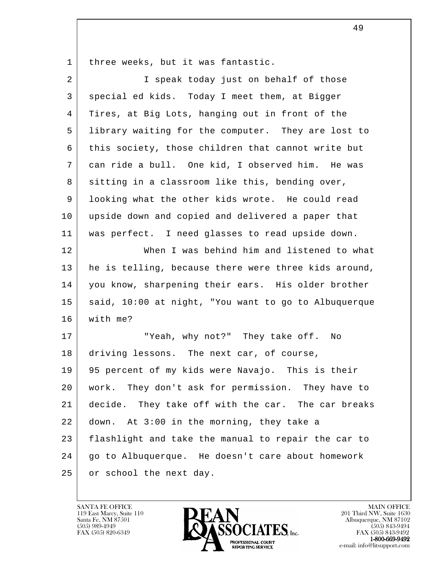1 | three weeks, but it was fantastic.

| $\overline{2}$ | I speak today just on behalf of those                |
|----------------|------------------------------------------------------|
| 3              | special ed kids. Today I meet them, at Bigger        |
| 4              | Tires, at Big Lots, hanging out in front of the      |
| 5              | library waiting for the computer. They are lost to   |
| 6              | this society, those children that cannot write but   |
| 7              | can ride a bull. One kid, I observed him. He was     |
| 8              | sitting in a classroom like this, bending over,      |
| 9              | looking what the other kids wrote. He could read     |
| 10             | upside down and copied and delivered a paper that    |
| 11             | was perfect. I need glasses to read upside down.     |
| 12             | When I was behind him and listened to what           |
| 13             | he is telling, because there were three kids around, |
| 14             | you know, sharpening their ears. His older brother   |
| 15             | said, 10:00 at night, "You want to go to Albuquerque |
| 16             | with me?                                             |
| 17             | "Yeah, why not?" They take off. No                   |
| 18             | driving lessons. The next car, of course,            |
| 19             | 95 percent of my kids were Navajo. This is their     |
| 20             | They don't ask for permission. They have to<br>work. |
| 21             | decide. They take off with the car. The car breaks   |
| 22             | down. At 3:00 in the morning, they take a            |
| 23             | flashlight and take the manual to repair the car to  |
| 24             | go to Albuquerque. He doesn't care about homework    |
| 25             | or school the next day.                              |

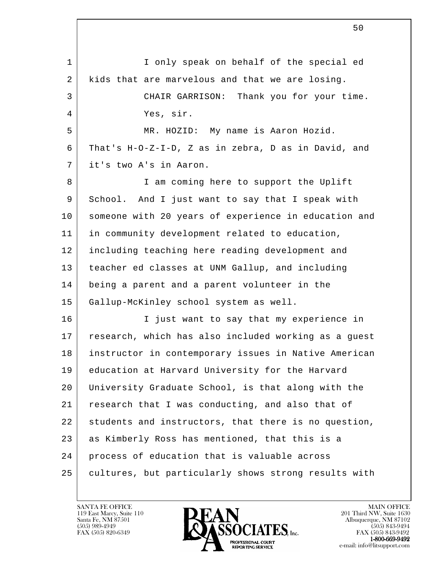l 1 I only speak on behalf of the special ed 2 kids that are marvelous and that we are losing. 3 CHAIR GARRISON: Thank you for your time. 4 Yes, sir. 5 MR. HOZID: My name is Aaron Hozid. 6 That's H-O-Z-I-D, Z as in zebra, D as in David, and 7 it's two A's in Aaron. 8 I am coming here to support the Uplift 9 School. And I just want to say that I speak with 10 someone with 20 years of experience in education and 11 in community development related to education, 12 including teaching here reading development and 13 teacher ed classes at UNM Gallup, and including 14 being a parent and a parent volunteer in the 15 Gallup-McKinley school system as well. 16 | Tiust want to say that my experience in 17 research, which has also included working as a guest 18 instructor in contemporary issues in Native American 19 education at Harvard University for the Harvard 20 University Graduate School, is that along with the 21 research that I was conducting, and also that of 22 students and instructors, that there is no question, 23 as Kimberly Ross has mentioned, that this is a 24 process of education that is valuable across 25 cultures, but particularly shows strong results with

 $\sim$  50

119 East Marcy, Suite 110<br>Santa Fe, NM 87501



FAX (505) 843-9492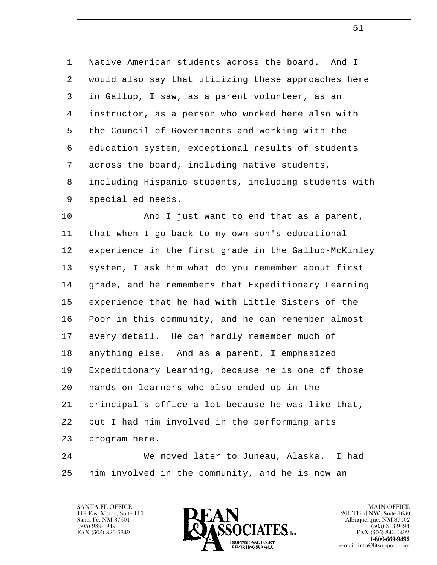1 Native American students across the board. And I 2 would also say that utilizing these approaches here 3 in Gallup, I saw, as a parent volunteer, as an 4 instructor, as a person who worked here also with 5 the Council of Governments and working with the 6 education system, exceptional results of students 7 across the board, including native students, 8 including Hispanic students, including students with 9 special ed needs.

10 | And I just want to end that as a parent, 11 that when I go back to my own son's educational 12 experience in the first grade in the Gallup-McKinley 13 | system, I ask him what do you remember about first 14 grade, and he remembers that Expeditionary Learning 15 experience that he had with Little Sisters of the 16 Poor in this community, and he can remember almost 17 every detail. He can hardly remember much of 18 anything else. And as a parent, I emphasized 19 Expeditionary Learning, because he is one of those 20 hands-on learners who also ended up in the 21 principal's office a lot because he was like that, 22 but I had him involved in the performing arts 23 program here. 24 We moved later to Juneau, Alaska. I had

l 25 him involved in the community, and he is now an

119 East Marcy, Suite 110<br>Santa Fe, NM 87501

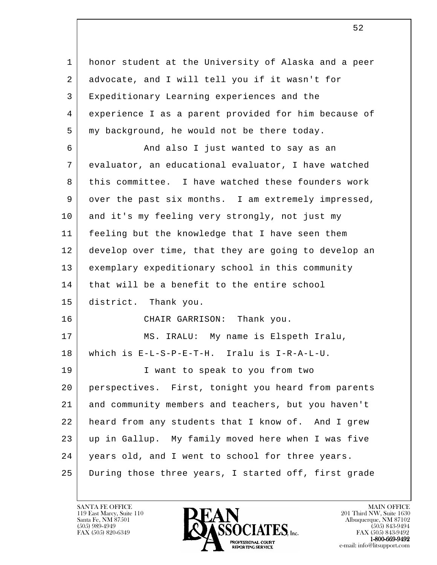l 1 honor student at the University of Alaska and a peer 2 advocate, and I will tell you if it wasn't for 3 Expeditionary Learning experiences and the 4 experience I as a parent provided for him because of 5 my background, he would not be there today. 6 | And also I just wanted to say as an 7 evaluator, an educational evaluator, I have watched 8 this committee. I have watched these founders work 9 over the past six months. I am extremely impressed, 10 and it's my feeling very strongly, not just my 11 feeling but the knowledge that I have seen them 12 develop over time, that they are going to develop an 13 exemplary expeditionary school in this community 14 | that will be a benefit to the entire school 15 district. Thank you. 16 CHAIR GARRISON: Thank you. 17 | MS. IRALU: My name is Elspeth Iralu, 18 which is E-L-S-P-E-T-H. Iralu is I-R-A-L-U. 19 I want to speak to you from two 20 perspectives. First, tonight you heard from parents 21 and community members and teachers, but you haven't 22 heard from any students that I know of. And I grew 23 up in Gallup. My family moved here when I was five 24 | years old, and I went to school for three years. 25 During those three years, I started off, first grade

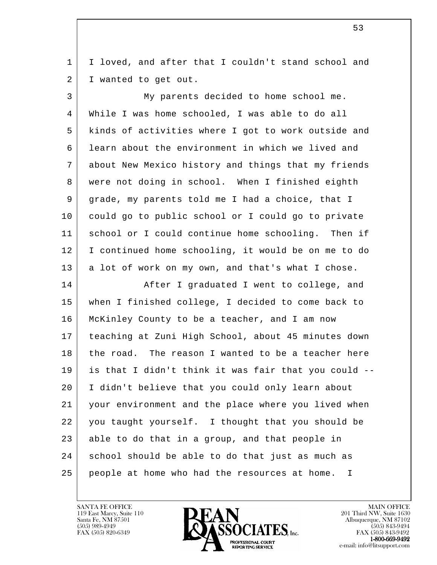1 | I loved, and after that I couldn't stand school and 2 I wanted to get out.

 3 My parents decided to home school me. 4 While I was home schooled, I was able to do all 5 kinds of activities where I got to work outside and 6 learn about the environment in which we lived and 7 about New Mexico history and things that my friends 8 were not doing in school. When I finished eighth 9 grade, my parents told me I had a choice, that I 10 could go to public school or I could go to private 11 school or I could continue home schooling. Then if 12 I continued home schooling, it would be on me to do 13 a lot of work on my own, and that's what I chose.

l 14 After I graduated I went to college, and 15 when I finished college, I decided to come back to 16 McKinley County to be a teacher, and I am now 17 teaching at Zuni High School, about 45 minutes down 18 the road. The reason I wanted to be a teacher here 19 is that I didn't think it was fair that you could -- 20 I didn't believe that you could only learn about 21 your environment and the place where you lived when 22 you taught yourself. I thought that you should be 23 able to do that in a group, and that people in 24 school should be able to do that just as much as 25 people at home who had the resources at home. I

119 East Marcy, Suite 110<br>Santa Fe, NM 87501



FAX (505) 843-9492 e-mail: info@litsupport.com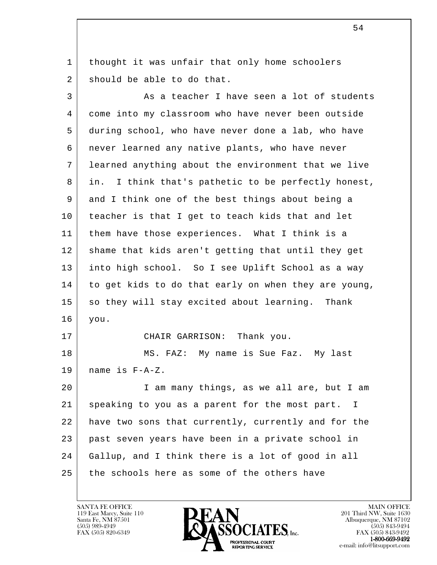1 | thought it was unfair that only home schoolers 2 should be able to do that.

l 3 As a teacher I have seen a lot of students 4 come into my classroom who have never been outside 5 during school, who have never done a lab, who have 6 never learned any native plants, who have never 7 learned anything about the environment that we live 8 in. I think that's pathetic to be perfectly honest, 9 and I think one of the best things about being a 10 teacher is that I get to teach kids that and let 11 | them have those experiences. What I think is a 12 | shame that kids aren't getting that until they get 13 into high school. So I see Uplift School as a way 14 to get kids to do that early on when they are young, 15 so they will stay excited about learning. Thank 16 you. 17 CHAIR GARRISON: Thank you. 18 MS. FAZ: My name is Sue Faz. My last 19 name is F-A-Z. 20 I am many things, as we all are, but I am 21 speaking to you as a parent for the most part. I 22 have two sons that currently, currently and for the 23 past seven years have been in a private school in 24 Gallup, and I think there is a lot of good in all 25 the schools here as some of the others have

119 East Marcy, Suite 110<br>Santa Fe, NM 87501



FAX (505) 843-9492 e-mail: info@litsupport.com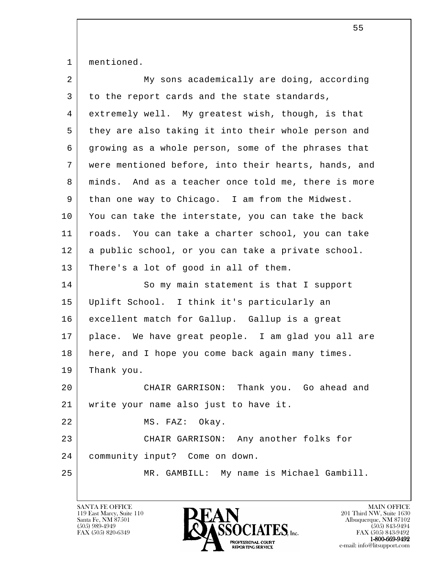|  | mentioned. |
|--|------------|
|--|------------|

| $\overline{a}$ | My sons academically are doing, according            |
|----------------|------------------------------------------------------|
| 3              | to the report cards and the state standards,         |
| 4              | extremely well. My greatest wish, though, is that    |
| 5              | they are also taking it into their whole person and  |
| 6              | growing as a whole person, some of the phrases that  |
| 7              | were mentioned before, into their hearts, hands, and |
| 8              | minds. And as a teacher once told me, there is more  |
| 9              | than one way to Chicago. I am from the Midwest.      |
| 10             | You can take the interstate, you can take the back   |
| 11             | roads. You can take a charter school, you can take   |
| 12             | a public school, or you can take a private school.   |
| 13             | There's a lot of good in all of them.                |
| 14             | So my main statement is that I support               |
| 15             | Uplift School. I think it's particularly an          |
| 16             | excellent match for Gallup. Gallup is a great        |
| 17             | place. We have great people. I am glad you all are   |
| 18             | here, and I hope you come back again many times.     |
| 19             | Thank you.                                           |
| 20             | CHAIR GARRISON:<br>Thank you. Go ahead and           |
| 21             | write your name also just to have it.                |
| 22             | MS. FAZ: Okay.                                       |
| 23             | CHAIR GARRISON: Any another folks for                |
| 24             | community input? Come on down.                       |
| 25             | MR. GAMBILL: My name is Michael Gambill.             |
|                |                                                      |

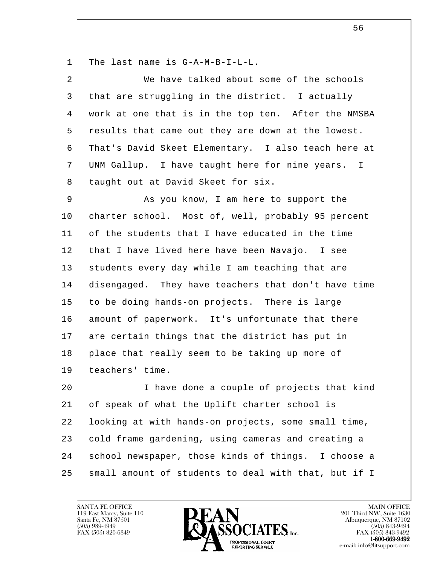| 1  | The last name is G-A-M-B-I-L-L.                      |
|----|------------------------------------------------------|
| 2  | We have talked about some of the schools             |
| 3  | that are struggling in the district. I actually      |
| 4  | work at one that is in the top ten. After the NMSBA  |
| 5  | results that came out they are down at the lowest.   |
| 6  | That's David Skeet Elementary. I also teach here at  |
| 7  | UNM Gallup. I have taught here for nine years. I     |
| 8  | taught out at David Skeet for six.                   |
| 9  | As you know, I am here to support the                |
| 10 | charter school. Most of, well, probably 95 percent   |
| 11 | of the students that I have educated in the time     |
| 12 | that I have lived here have been Navajo. I see       |
| 13 | students every day while I am teaching that are      |
| 14 | disengaged. They have teachers that don't have time  |
| 15 | to be doing hands-on projects. There is large        |
| 16 | amount of paperwork. It's unfortunate that there     |
| 17 | are certain things that the district has put in      |
| 18 | place that really seem to be taking up more of       |
| 19 | teachers' time.                                      |
| 20 | I have done a couple of projects that kind           |
| 21 | of speak of what the Uplift charter school is        |
| 22 | looking at with hands-on projects, some small time,  |
| 23 | cold frame gardening, using cameras and creating a   |
| 24 | school newspaper, those kinds of things. I choose a  |
| 25 | small amount of students to deal with that, but if I |

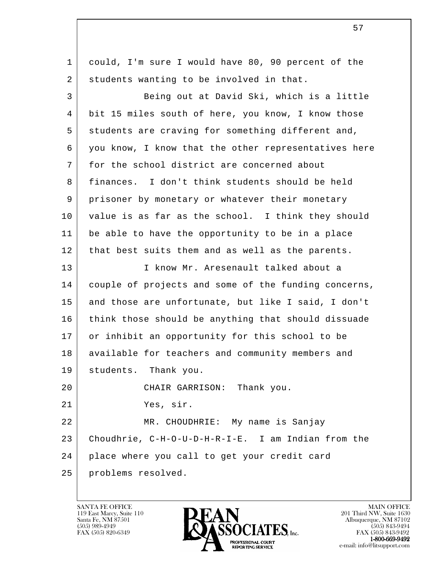l 1 could, I'm sure I would have 80, 90 percent of the 2 students wanting to be involved in that. 3 Being out at David Ski, which is a little 4 bit 15 miles south of here, you know, I know those 5 students are craving for something different and, 6 you know, I know that the other representatives here 7 for the school district are concerned about 8 finances. I don't think students should be held 9 prisoner by monetary or whatever their monetary 10 value is as far as the school. I think they should 11 be able to have the opportunity to be in a place 12 | that best suits them and as well as the parents. 13 I know Mr. Aresenault talked about a 14 couple of projects and some of the funding concerns, 15 and those are unfortunate, but like I said, I don't 16 think those should be anything that should dissuade 17 | or inhibit an opportunity for this school to be 18 | available for teachers and community members and 19 students. Thank you. 20 CHAIR GARRISON: Thank you. 21 Yes, sir. 22 MR. CHOUDHRIE: My name is Sanjay 23 Choudhrie, C-H-O-U-D-H-R-I-E. I am Indian from the 24 place where you call to get your credit card 25 problems resolved.

119 East Marcy, Suite 110<br>Santa Fe, NM 87501



FAX (505) 843-9492 e-mail: info@litsupport.com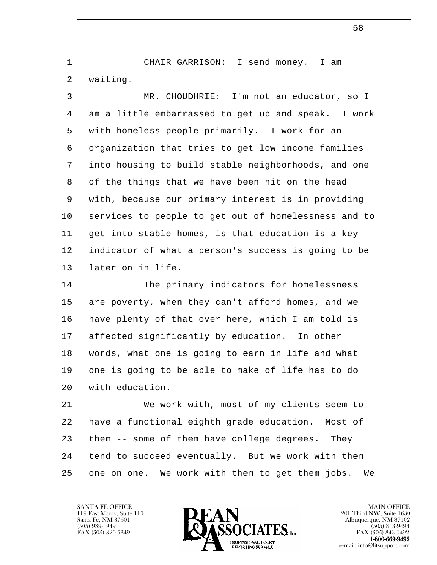1 CHAIR GARRISON: I send money. I am 2 waiting.

 3 MR. CHOUDHRIE: I'm not an educator, so I 4 am a little embarrassed to get up and speak. I work 5 with homeless people primarily. I work for an 6 organization that tries to get low income families 7 into housing to build stable neighborhoods, and one 8 of the things that we have been hit on the head 9 with, because our primary interest is in providing 10 services to people to get out of homelessness and to 11 get into stable homes, is that education is a key 12 indicator of what a person's success is going to be 13 later on in life.

14 The primary indicators for homelessness 15 are poverty, when they can't afford homes, and we 16 have plenty of that over here, which I am told is 17 affected significantly by education. In other 18 words, what one is going to earn in life and what 19 one is going to be able to make of life has to do 20 with education.

l 21 We work with, most of my clients seem to 22 have a functional eighth grade education. Most of 23 them -- some of them have college degrees. They 24 tend to succeed eventually. But we work with them 25 one on one. We work with them to get them jobs. We

119 East Marcy, Suite 110<br>Santa Fe, NM 87501

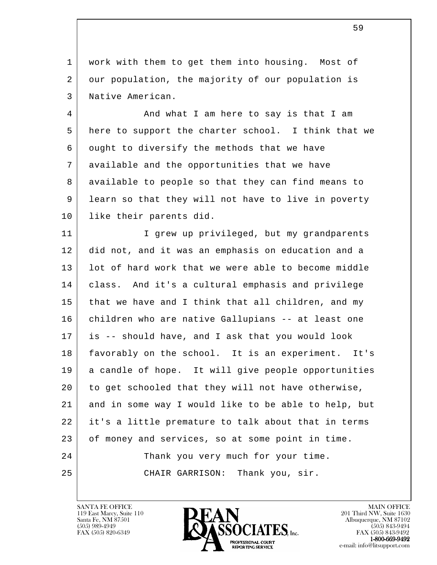1 | work with them to get them into housing. Most of 2 our population, the majority of our population is 3 Native American.

4 And what I am here to say is that I am 5 here to support the charter school. I think that we 6 ought to diversify the methods that we have 7 available and the opportunities that we have 8 available to people so that they can find means to 9 learn so that they will not have to live in poverty 10 like their parents did.

l 11 | The Tangler of privileged, but my grandparents 12 did not, and it was an emphasis on education and a 13 | lot of hard work that we were able to become middle 14 class. And it's a cultural emphasis and privilege 15 that we have and I think that all children, and my 16 children who are native Gallupians -- at least one 17 is -- should have, and I ask that you would look 18 favorably on the school. It is an experiment. It's 19 a candle of hope. It will give people opportunities 20 to get schooled that they will not have otherwise, 21 and in some way I would like to be able to help, but 22 it's a little premature to talk about that in terms 23 of money and services, so at some point in time. 24 Thank you very much for your time. 25 CHAIR GARRISON: Thank you, sir.

119 East Marcy, Suite 110<br>Santa Fe, NM 87501



FAX (505) 843-9492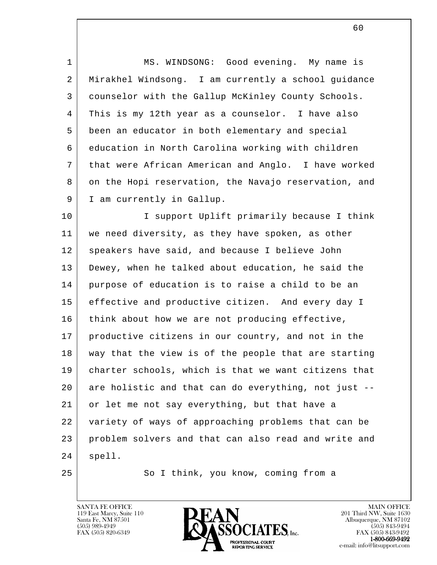1 | MS. WINDSONG: Good evening. My name is 2 Mirakhel Windsong. I am currently a school guidance 3 counselor with the Gallup McKinley County Schools. 4 This is my 12th year as a counselor. I have also 5 been an educator in both elementary and special 6 education in North Carolina working with children 7 that were African American and Anglo. I have worked 8 on the Hopi reservation, the Navajo reservation, and 9 | I am currently in Gallup. 10 I support Uplift primarily because I think

l 11 we need diversity, as they have spoken, as other 12 | speakers have said, and because I believe John 13 Dewey, when he talked about education, he said the 14 purpose of education is to raise a child to be an 15 effective and productive citizen. And every day I 16 think about how we are not producing effective, 17 productive citizens in our country, and not in the 18 way that the view is of the people that are starting 19 charter schools, which is that we want citizens that 20 are holistic and that can do everything, not just -- 21 or let me not say everything, but that have a 22 variety of ways of approaching problems that can be 23 problem solvers and that can also read and write and 24 | spell.

25 So I think, you know, coming from a

119 East Marcy, Suite 110<br>Santa Fe, NM 87501

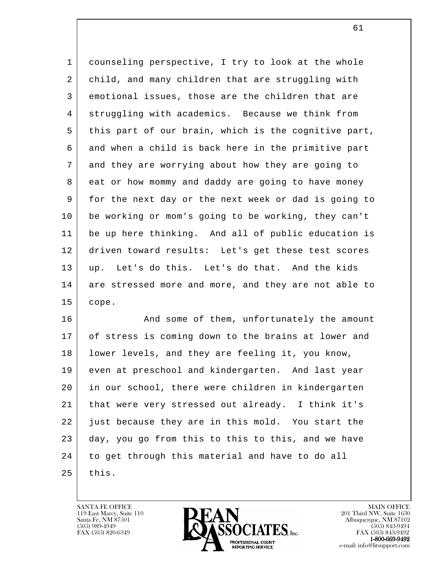1 counseling perspective, I try to look at the whole 2 child, and many children that are struggling with 3 emotional issues, those are the children that are 4 | struggling with academics. Because we think from 5 this part of our brain, which is the cognitive part, 6 and when a child is back here in the primitive part 7 and they are worrying about how they are going to 8 eat or how mommy and daddy are going to have money 9 for the next day or the next week or dad is going to 10 be working or mom's going to be working, they can't 11 be up here thinking. And all of public education is 12 driven toward results: Let's get these test scores 13 up. Let's do this. Let's do that. And the kids 14 are stressed more and more, and they are not able to 15 cope.

l 16 And some of them, unfortunately the amount 17 of stress is coming down to the brains at lower and 18 lower levels, and they are feeling it, you know, 19 even at preschool and kindergarten. And last year 20 in our school, there were children in kindergarten 21 that were very stressed out already. I think it's 22 just because they are in this mold. You start the 23 day, you go from this to this to this, and we have 24 to get through this material and have to do all  $25$  this.

119 East Marcy, Suite 110<br>Santa Fe, NM 87501



FAX (505) 843-9492 e-mail: info@litsupport.com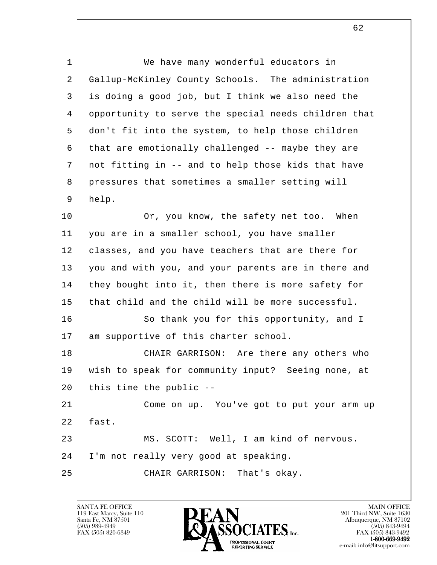| 1  | We have many wonderful educators in                  |
|----|------------------------------------------------------|
| 2  | Gallup-McKinley County Schools. The administration   |
| 3  | is doing a good job, but I think we also need the    |
| 4  | opportunity to serve the special needs children that |
| 5  | don't fit into the system, to help those children    |
| 6  | that are emotionally challenged -- maybe they are    |
| 7  | not fitting in -- and to help those kids that have   |
| 8  | pressures that sometimes a smaller setting will      |
| 9  | help.                                                |
| 10 | Or, you know, the safety net too. When               |
| 11 | you are in a smaller school, you have smaller        |
| 12 | classes, and you have teachers that are there for    |
| 13 | you and with you, and your parents are in there and  |
| 14 | they bought into it, then there is more safety for   |
| 15 | that child and the child will be more successful.    |
| 16 | So thank you for this opportunity, and I             |
| 17 | am supportive of this charter school.                |
| 18 | Are there any others who<br>CHAIR GARRISON:          |
| 19 | wish to speak for community input? Seeing none, at   |
| 20 | this time the public --                              |
| 21 | Come on up. You've got to put your arm up            |
| 22 | fast.                                                |
| 23 | MS. SCOTT: Well, I am kind of nervous.               |
| 24 | I'm not really very good at speaking.                |
| 25 | CHAIR GARRISON: That's okay.                         |
|    |                                                      |

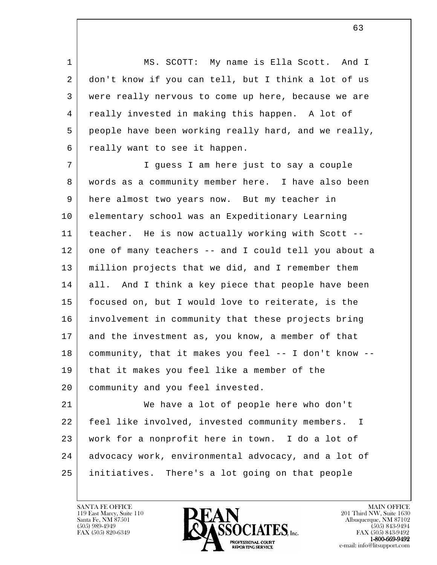1 MS. SCOTT: My name is Ella Scott. And I 2 don't know if you can tell, but I think a lot of us 3 were really nervous to come up here, because we are 4 really invested in making this happen. A lot of 5 people have been working really hard, and we really, 6 really want to see it happen.

 7 I guess I am here just to say a couple 8 words as a community member here. I have also been 9 here almost two years now. But my teacher in 10 elementary school was an Expeditionary Learning 11 teacher. He is now actually working with Scott -- 12 one of many teachers -- and I could tell you about a 13 million projects that we did, and I remember them 14 all. And I think a key piece that people have been 15 focused on, but I would love to reiterate, is the 16 involvement in community that these projects bring 17 and the investment as, you know, a member of that 18 community, that it makes you feel -- I don't know -- 19 that it makes you feel like a member of the 20 community and you feel invested.

l 21 We have a lot of people here who don't 22 feel like involved, invested community members. I 23 work for a nonprofit here in town. I do a lot of 24 advocacy work, environmental advocacy, and a lot of 25 initiatives. There's a lot going on that people

119 East Marcy, Suite 110<br>Santa Fe, NM 87501

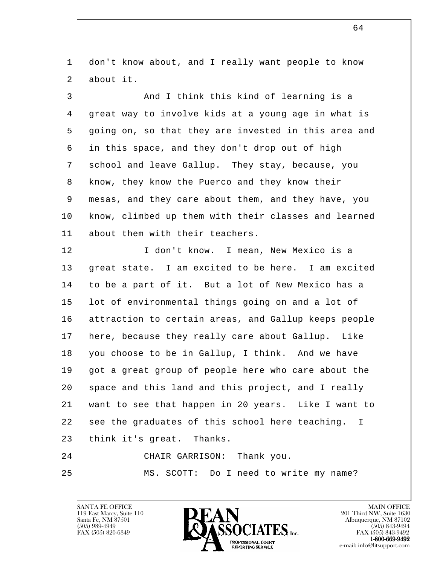l 1 don't know about, and I really want people to know 2 about it. 3 And I think this kind of learning is a 4 great way to involve kids at a young age in what is 5 going on, so that they are invested in this area and 6 in this space, and they don't drop out of high 7 school and leave Gallup. They stay, because, you 8 | know, they know the Puerco and they know their 9 mesas, and they care about them, and they have, you 10 know, climbed up them with their classes and learned 11 about them with their teachers. 12 I don't know. I mean, New Mexico is a 13 great state. I am excited to be here. I am excited 14 to be a part of it. But a lot of New Mexico has a 15 lot of environmental things going on and a lot of 16 attraction to certain areas, and Gallup keeps people 17 here, because they really care about Gallup. Like 18 you choose to be in Gallup, I think. And we have 19 got a great group of people here who care about the 20 space and this land and this project, and I really 21 want to see that happen in 20 years. Like I want to 22 see the graduates of this school here teaching. I 23 | think it's great. Thanks. 24 CHAIR GARRISON: Thank you. 25 MS. SCOTT: Do I need to write my name?

119 East Marcy, Suite 110<br>Santa Fe, NM 87501

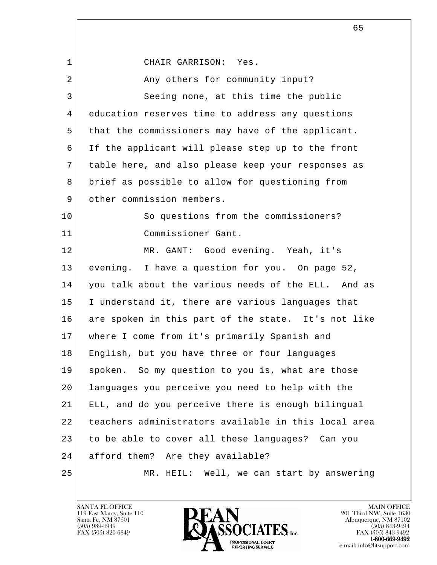l 1 CHAIR GARRISON: Yes. 2 | The Community input? 3 Seeing none, at this time the public 4 education reserves time to address any questions 5 that the commissioners may have of the applicant. 6 If the applicant will please step up to the front 7 table here, and also please keep your responses as 8 brief as possible to allow for questioning from 9 other commission members. 10 So questions from the commissioners? 11 Commissioner Gant. 12 | MR. GANT: Good evening. Yeah, it's 13 evening. I have a question for you. On page 52, 14 you talk about the various needs of the ELL. And as 15 | I understand it, there are various languages that 16 are spoken in this part of the state. It's not like 17 where I come from it's primarily Spanish and 18 English, but you have three or four languages 19 | spoken. So my question to you is, what are those 20 languages you perceive you need to help with the 21 ELL, and do you perceive there is enough bilingual 22 teachers administrators available in this local area 23 to be able to cover all these languages? Can you 24 afford them? Are they available? 25 MR. HEIL: Well, we can start by answering

119 East Marcy, Suite 110<br>Santa Fe, NM 87501

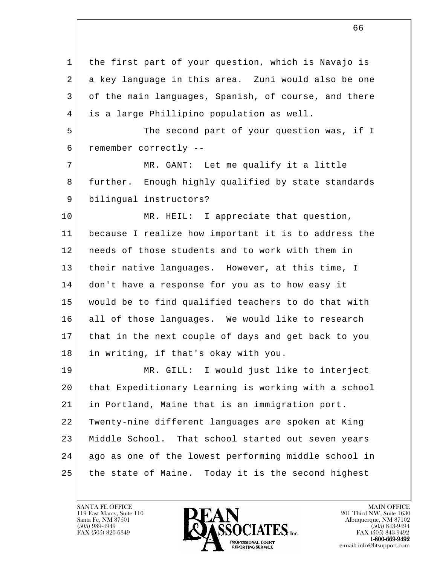l 1 | the first part of your question, which is Navajo is 2 a key language in this area. Zuni would also be one 3 of the main languages, Spanish, of course, and there 4 is a large Phillipino population as well. 5 The second part of your question was, if I 6 remember correctly -- 7 | MR. GANT: Let me qualify it a little 8 further. Enough highly qualified by state standards 9 bilingual instructors? 10 MR. HEIL: I appreciate that question, 11 because I realize how important it is to address the 12 needs of those students and to work with them in 13 their native languages. However, at this time, I 14 don't have a response for you as to how easy it 15 would be to find qualified teachers to do that with 16 all of those languages. We would like to research 17 that in the next couple of days and get back to you 18 in writing, if that's okay with you. 19 MR. GILL: I would just like to interject 20 that Expeditionary Learning is working with a school 21 in Portland, Maine that is an immigration port. 22 Twenty-nine different languages are spoken at King 23 | Middle School. That school started out seven years 24 ago as one of the lowest performing middle school in 25 the state of Maine. Today it is the second highest

119 East Marcy, Suite 110<br>Santa Fe, NM 87501

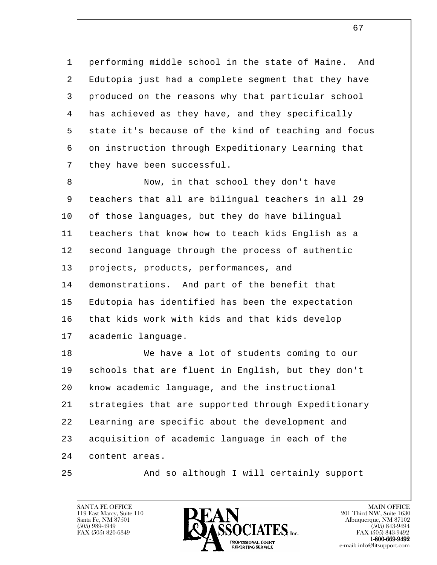1 performing middle school in the state of Maine. And 2 Edutopia just had a complete segment that they have 3 produced on the reasons why that particular school 4 has achieved as they have, and they specifically 5 state it's because of the kind of teaching and focus 6 on instruction through Expeditionary Learning that 7 they have been successful.

8 Now, in that school they don't have 9 teachers that all are bilingual teachers in all 29 10 of those languages, but they do have bilingual 11 teachers that know how to teach kids English as a 12 second language through the process of authentic 13 projects, products, performances, and 14 demonstrations. And part of the benefit that 15 Edutopia has identified has been the expectation 16 that kids work with kids and that kids develop 17 academic language.

l 18 We have a lot of students coming to our 19 schools that are fluent in English, but they don't 20 know academic language, and the instructional 21 strategies that are supported through Expeditionary 22 Learning are specific about the development and 23 acquisition of academic language in each of the 24 content areas.

25 | And so although I will certainly support

119 East Marcy, Suite 110<br>Santa Fe, NM 87501



FAX (505) 843-9492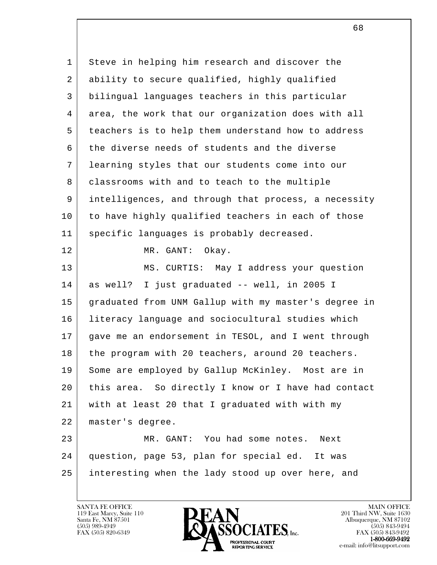l 1 Steve in helping him research and discover the 2 ability to secure qualified, highly qualified 3 bilingual languages teachers in this particular 4 area, the work that our organization does with all 5 teachers is to help them understand how to address 6 the diverse needs of students and the diverse 7 learning styles that our students come into our 8 classrooms with and to teach to the multiple 9 intelligences, and through that process, a necessity 10 to have highly qualified teachers in each of those 11 specific languages is probably decreased. 12 MR. GANT: Okay. 13 MS. CURTIS: May I address your question 14 as well? I just graduated -- well, in 2005 I 15 graduated from UNM Gallup with my master's degree in 16 literacy language and sociocultural studies which 17 gave me an endorsement in TESOL, and I went through 18 the program with 20 teachers, around 20 teachers. 19 Some are employed by Gallup McKinley. Most are in 20 this area. So directly I know or I have had contact 21 with at least 20 that I graduated with with my 22 master's degree. 23 MR. GANT: You had some notes. Next 24 question, page 53, plan for special ed. It was 25 interesting when the lady stood up over here, and

119 East Marcy, Suite 110<br>Santa Fe, NM 87501



FAX (505) 843-9492

 $\sim$  68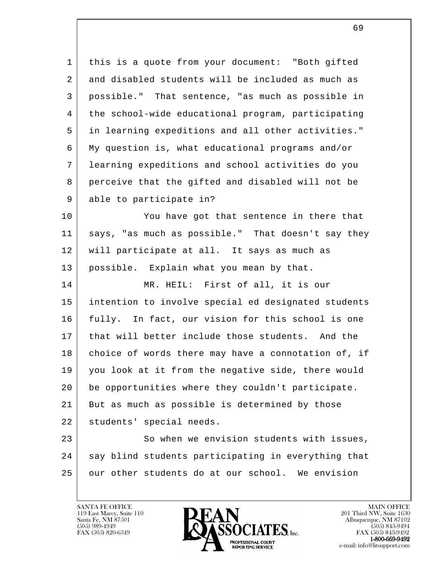1 | this is a quote from your document: "Both gifted 2 and disabled students will be included as much as 3 possible." That sentence, "as much as possible in 4 the school-wide educational program, participating 5 in learning expeditions and all other activities." 6 My question is, what educational programs and/or 7 learning expeditions and school activities do you 8 perceive that the gifted and disabled will not be 9 able to participate in?

10 You have got that sentence in there that 11 says, "as much as possible." That doesn't say they 12 will participate at all. It says as much as 13 possible. Explain what you mean by that.

14 MR. HEIL: First of all, it is our 15 intention to involve special ed designated students 16 fully. In fact, our vision for this school is one 17 that will better include those students. And the 18 choice of words there may have a connotation of, if 19 you look at it from the negative side, there would 20 be opportunities where they couldn't participate. 21 But as much as possible is determined by those 22 students' special needs.

l 23 | So when we envision students with issues, 24 say blind students participating in everything that 25 our other students do at our school. We envision

119 East Marcy, Suite 110<br>Santa Fe, NM 87501

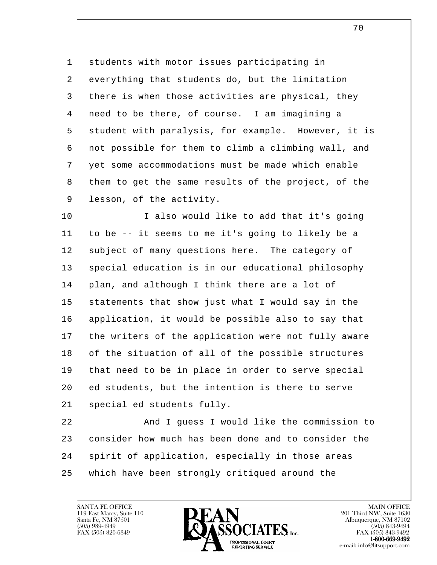1 students with motor issues participating in 2 everything that students do, but the limitation 3 there is when those activities are physical, they 4 need to be there, of course. I am imagining a 5 student with paralysis, for example. However, it is 6 not possible for them to climb a climbing wall, and 7 yet some accommodations must be made which enable 8 them to get the same results of the project, of the 9 lesson, of the activity.

10 | I also would like to add that it's going 11 to be -- it seems to me it's going to likely be a 12 subject of many questions here. The category of 13 special education is in our educational philosophy 14 | plan, and although I think there are a lot of 15 statements that show just what I would say in the 16 application, it would be possible also to say that 17 the writers of the application were not fully aware 18 of the situation of all of the possible structures 19 that need to be in place in order to serve special 20 ed students, but the intention is there to serve 21 special ed students fully.

l 22 And I guess I would like the commission to 23 consider how much has been done and to consider the 24 spirit of application, especially in those areas 25 which have been strongly critiqued around the

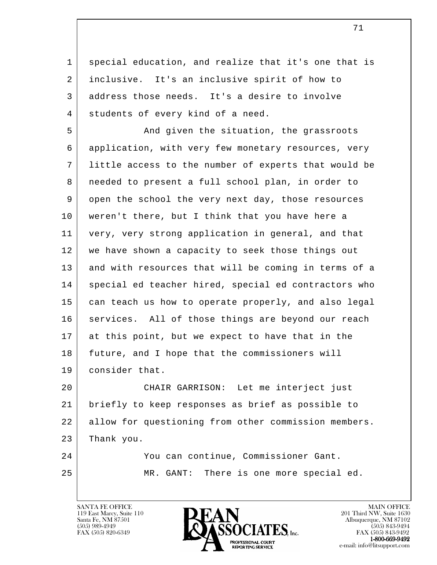1 special education, and realize that it's one that is 2 inclusive. It's an inclusive spirit of how to 3 address those needs. It's a desire to involve 4 | students of every kind of a need.

5 And given the situation, the grassroots 6 application, with very few monetary resources, very 7 little access to the number of experts that would be 8 needed to present a full school plan, in order to 9 open the school the very next day, those resources 10 weren't there, but I think that you have here a 11 very, very strong application in general, and that 12 | we have shown a capacity to seek those things out 13 and with resources that will be coming in terms of a 14 | special ed teacher hired, special ed contractors who 15 can teach us how to operate properly, and also legal 16 | services. All of those things are beyond our reach 17 at this point, but we expect to have that in the 18 future, and I hope that the commissioners will 19 consider that.

 20 CHAIR GARRISON: Let me interject just 21 briefly to keep responses as brief as possible to 22 allow for questioning from other commission members. 23 Thank you.

 24 You can continue, Commissioner Gant. 25 MR. GANT: There is one more special ed.

119 East Marcy, Suite 110<br>Santa Fe, NM 87501

l 

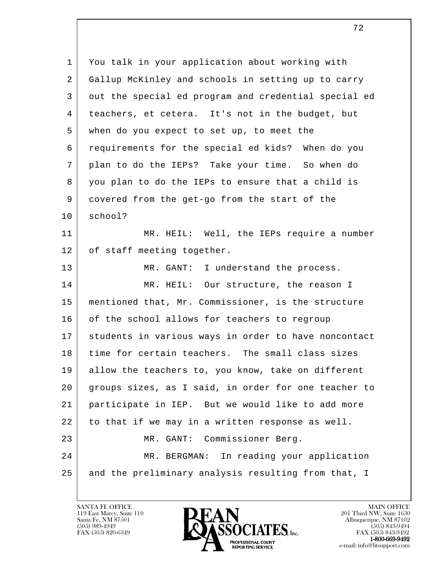| 1  | You talk in your application about working with      |
|----|------------------------------------------------------|
| 2  | Gallup McKinley and schools in setting up to carry   |
| 3  | out the special ed program and credential special ed |
| 4  | teachers, et cetera. It's not in the budget, but     |
| 5  | when do you expect to set up, to meet the            |
| 6  | requirements for the special ed kids? When do you    |
| 7  | plan to do the IEPs? Take your time. So when do      |
| 8  | you plan to do the IEPs to ensure that a child is    |
| 9  | covered from the get-go from the start of the        |
| 10 | school?                                              |
| 11 | MR. HEIL: Well, the IEPs require a number            |
| 12 | of staff meeting together.                           |
| 13 | MR. GANT: I understand the process.                  |
| 14 | MR. HEIL: Our structure, the reason I                |
| 15 | mentioned that, Mr. Commissioner, is the structure   |
| 16 | of the school allows for teachers to regroup         |
| 17 | students in various ways in order to have noncontact |
| 18 | time for certain teachers. The small class sizes     |
| 19 | allow the teachers to, you know, take on different   |
| 20 | groups sizes, as I said, in order for one teacher to |
| 21 | participate in IEP. But we would like to add more    |
| 22 | to that if we may in a written response as well.     |
| 23 | Commissioner Berg.<br>MR. GANT:                      |
| 24 | In reading your application<br>MR. BERGMAN:          |
| 25 | and the preliminary analysis resulting from that, I  |
|    |                                                      |

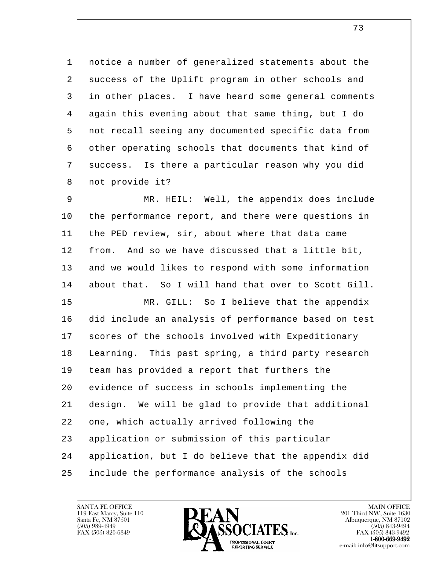1 notice a number of generalized statements about the 2 success of the Uplift program in other schools and 3 in other places. I have heard some general comments 4 again this evening about that same thing, but I do 5 not recall seeing any documented specific data from 6 | other operating schools that documents that kind of 7 success. Is there a particular reason why you did 8 | not provide it?

9 | MR. HEIL: Well, the appendix does include 10 | the performance report, and there were questions in 11 the PED review, sir, about where that data came 12 from. And so we have discussed that a little bit, 13 and we would likes to respond with some information 14 about that. So I will hand that over to Scott Gill.

l 15 MR. GILL: So I believe that the appendix 16 did include an analysis of performance based on test 17 | scores of the schools involved with Expeditionary 18 Learning. This past spring, a third party research 19 team has provided a report that furthers the 20 | evidence of success in schools implementing the 21 design. We will be glad to provide that additional 22 one, which actually arrived following the 23 application or submission of this particular 24 application, but I do believe that the appendix did 25 include the performance analysis of the schools

119 East Marcy, Suite 110<br>Santa Fe, NM 87501



FAX (505) 843-9492 e-mail: info@litsupport.com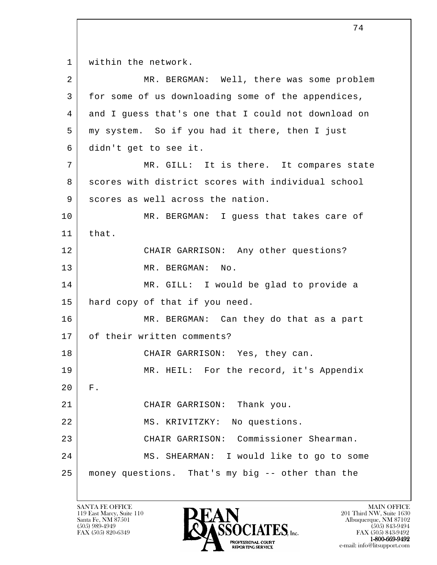l 1 | within the network. 2 MR. BERGMAN: Well, there was some problem 3 for some of us downloading some of the appendices, 4 and I guess that's one that I could not download on 5 my system. So if you had it there, then I just 6 didn't get to see it. 7 | MR. GILL: It is there. It compares state 8 scores with district scores with individual school 9 scores as well across the nation. 10 MR. BERGMAN: I guess that takes care of 11 that. 12 CHAIR GARRISON: Any other questions? 13 MR. BERGMAN: No. 14 MR. GILL: I would be glad to provide a 15 hard copy of that if you need. 16 MR. BERGMAN: Can they do that as a part 17 | of their written comments? 18 CHAIR GARRISON: Yes, they can. 19 MR. HEIL: For the record, it's Appendix 20 F. 21 CHAIR GARRISON: Thank you. 22 | MS. KRIVITZKY: No questions. 23 CHAIR GARRISON: Commissioner Shearman. 24 | MS. SHEARMAN: I would like to go to some 25 money questions. That's my big -- other than the

119 East Marcy, Suite 110<br>Santa Fe, NM 87501

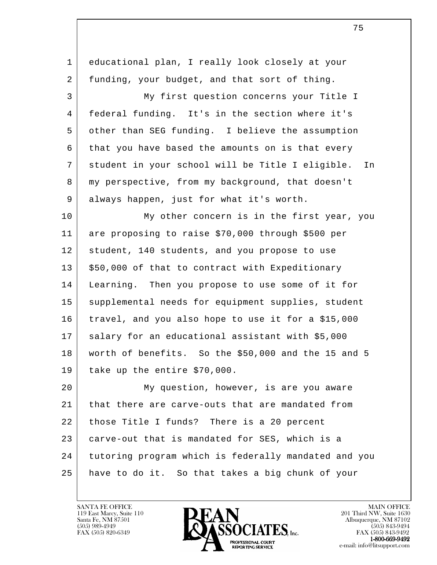l 1 educational plan, I really look closely at your 2 funding, your budget, and that sort of thing. 3 My first question concerns your Title I 4 federal funding. It's in the section where it's 5 other than SEG funding. I believe the assumption 6 that you have based the amounts on is that every 7 student in your school will be Title I eligible. In 8 my perspective, from my background, that doesn't 9 always happen, just for what it's worth. 10 My other concern is in the first year, you 11 are proposing to raise \$70,000 through \$500 per 12 student, 140 students, and you propose to use  $13$   $\frac{13}{13}$  \$50,000 of that to contract with Expeditionary 14 Learning. Then you propose to use some of it for 15 supplemental needs for equipment supplies, student 16 travel, and you also hope to use it for a \$15,000 17 salary for an educational assistant with \$5,000 18 worth of benefits. So the \$50,000 and the 15 and 5 19 take up the entire \$70,000. 20 My question, however, is are you aware 21 that there are carve-outs that are mandated from 22 | those Title I funds? There is a 20 percent 23 carve-out that is mandated for SES, which is a 24 tutoring program which is federally mandated and you 25 have to do it. So that takes a big chunk of your



FAX (505) 843-9492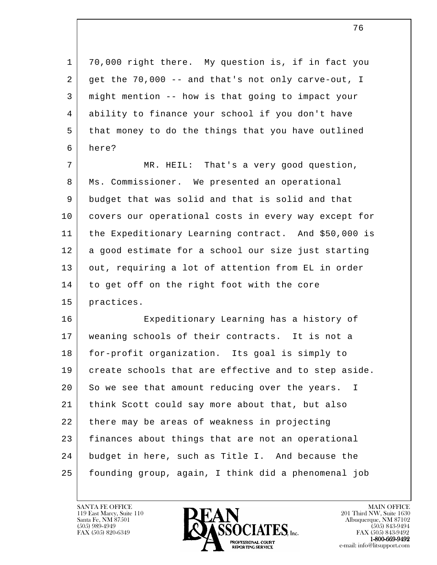1 70,000 right there. My question is, if in fact you 2 get the 70,000 -- and that's not only carve-out, I 3 might mention -- how is that going to impact your 4 ability to finance your school if you don't have 5 that money to do the things that you have outlined 6 here?

 7 MR. HEIL: That's a very good question, 8 Ms. Commissioner. We presented an operational 9 budget that was solid and that is solid and that 10 covers our operational costs in every way except for 11 the Expeditionary Learning contract. And \$50,000 is 12 a good estimate for a school our size just starting 13 out, requiring a lot of attention from EL in order 14 to get off on the right foot with the core 15 practices.

l 16 Expeditionary Learning has a history of 17 weaning schools of their contracts. It is not a 18 for-profit organization. Its goal is simply to 19 create schools that are effective and to step aside. 20 So we see that amount reducing over the years. I 21 think Scott could say more about that, but also 22 there may be areas of weakness in projecting 23 finances about things that are not an operational 24 budget in here, such as Title I. And because the 25 founding group, again, I think did a phenomenal job

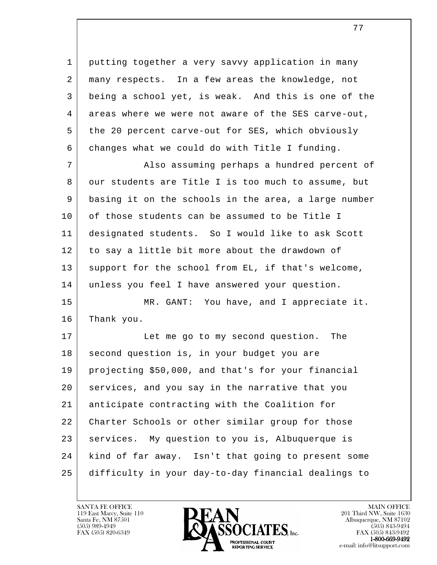1 putting together a very savvy application in many 2 many respects. In a few areas the knowledge, not 3 being a school yet, is weak. And this is one of the 4 areas where we were not aware of the SES carve-out, 5 the 20 percent carve-out for SES, which obviously 6 changes what we could do with Title I funding.

7 | Also assuming perhaps a hundred percent of 8 our students are Title I is too much to assume, but 9 basing it on the schools in the area, a large number 10 of those students can be assumed to be Title I 11 designated students. So I would like to ask Scott 12 to say a little bit more about the drawdown of 13 support for the school from EL, if that's welcome, 14 unless you feel I have answered your question.

15 | MR. GANT: You have, and I appreciate it. 16 Thank you.

l 17 Let me go to my second question. The 18 | second question is, in your budget you are 19 projecting \$50,000, and that's for your financial 20 services, and you say in the narrative that you 21 anticipate contracting with the Coalition for 22 Charter Schools or other similar group for those 23 | services. My question to you is, Albuquerque is 24 kind of far away. Isn't that going to present some 25 difficulty in your day-to-day financial dealings to



FAX (505) 843-9492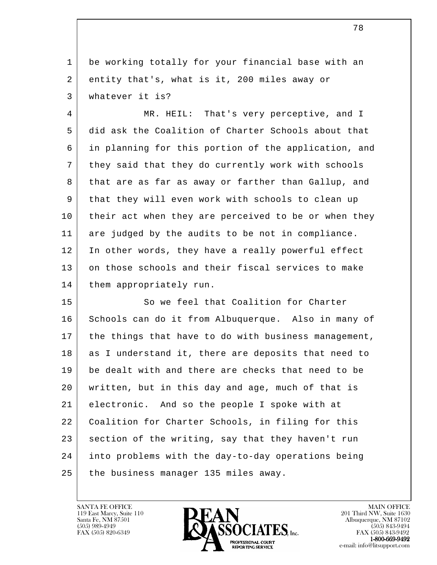1 be working totally for your financial base with an 2 entity that's, what is it, 200 miles away or 3 whatever it is?

 4 MR. HEIL: That's very perceptive, and I 5 did ask the Coalition of Charter Schools about that 6 in planning for this portion of the application, and 7 they said that they do currently work with schools 8 that are as far as away or farther than Gallup, and 9 that they will even work with schools to clean up 10 their act when they are perceived to be or when they 11 are judged by the audits to be not in compliance. 12 In other words, they have a really powerful effect 13 on those schools and their fiscal services to make 14 | them appropriately run.

l 15 So we feel that Coalition for Charter 16 Schools can do it from Albuquerque. Also in many of 17 the things that have to do with business management, 18 as I understand it, there are deposits that need to 19 be dealt with and there are checks that need to be 20 written, but in this day and age, much of that is 21 electronic. And so the people I spoke with at 22 | Coalition for Charter Schools, in filing for this 23 section of the writing, say that they haven't run 24 into problems with the day-to-day operations being 25 the business manager 135 miles away.



FAX (505) 843-9492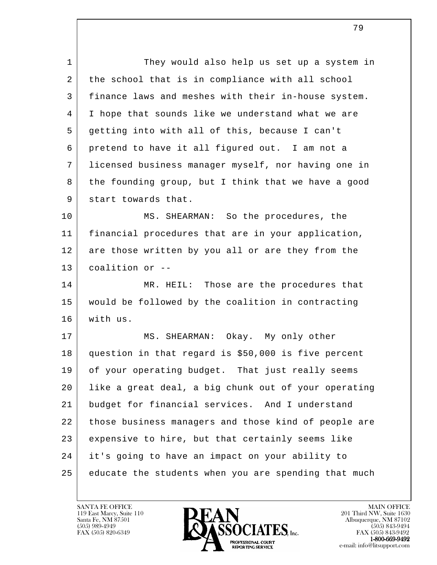l 1 They would also help us set up a system in 2 the school that is in compliance with all school 3 finance laws and meshes with their in-house system. 4 I hope that sounds like we understand what we are 5 getting into with all of this, because I can't 6 pretend to have it all figured out. I am not a 7 licensed business manager myself, nor having one in 8 the founding group, but I think that we have a good 9 start towards that. 10 MS. SHEARMAN: So the procedures, the 11 financial procedures that are in your application, 12 are those written by you all or are they from the 13 coalition or -- 14 MR. HEIL: Those are the procedures that 15 would be followed by the coalition in contracting 16 with us. 17 | MS. SHEARMAN: Okay. My only other 18 question in that regard is \$50,000 is five percent 19 of your operating budget. That just really seems 20 like a great deal, a big chunk out of your operating 21 budget for financial services. And I understand 22 those business managers and those kind of people are 23 expensive to hire, but that certainly seems like 24 it's going to have an impact on your ability to 25 educate the students when you are spending that much

119 East Marcy, Suite 110<br>Santa Fe, NM 87501

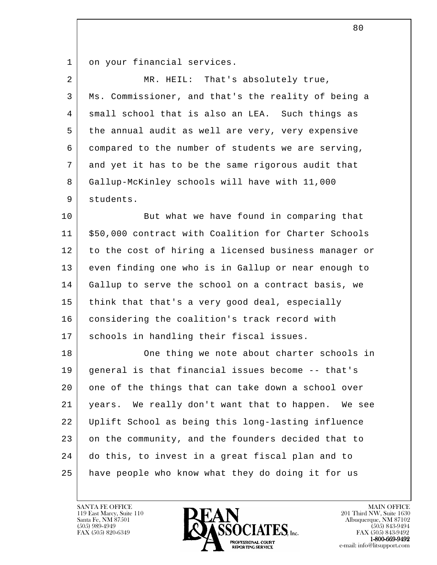1 on your financial services.

| $\overline{a}$ | MR. HEIL: That's absolutely true,                    |
|----------------|------------------------------------------------------|
| 3              | Ms. Commissioner, and that's the reality of being a  |
| 4              | small school that is also an LEA. Such things as     |
| 5              | the annual audit as well are very, very expensive    |
| 6              | compared to the number of students we are serving,   |
| 7              | and yet it has to be the same rigorous audit that    |
| 8              | Gallup-McKinley schools will have with 11,000        |
| 9              | students.                                            |
| 10             | But what we have found in comparing that             |
| 11             | \$50,000 contract with Coalition for Charter Schools |
| 12             | to the cost of hiring a licensed business manager or |
| 13             | even finding one who is in Gallup or near enough to  |
| 14             | Gallup to serve the school on a contract basis, we   |
| 15             | think that that's a very good deal, especially       |
| 16             | considering the coalition's track record with        |
| 17             | schools in handling their fiscal issues.             |
| 18             | One thing we note about charter schools in           |
| 19             | general is that financial issues become -- that's    |
| 20             | one of the things that can take down a school over   |
| 21             | years. We really don't want that to happen. We see   |
| 22             | Uplift School as being this long-lasting influence   |
| 23             | on the community, and the founders decided that to   |
| 24             | do this, to invest in a great fiscal plan and to     |
| 25             | have people who know what they do doing it for us    |
|                |                                                      |

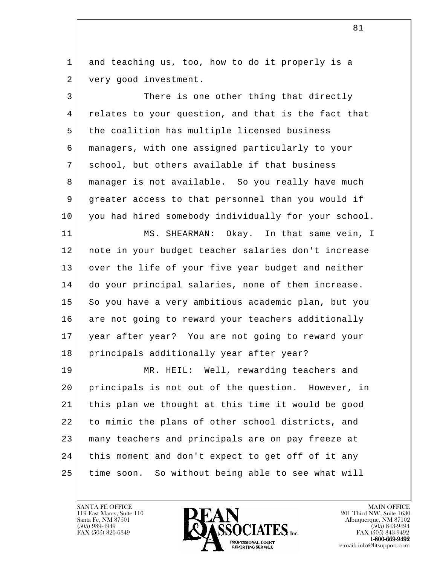1 and teaching us, too, how to do it properly is a 2 very good investment.

3 There is one other thing that directly 4 relates to your question, and that is the fact that 5 the coalition has multiple licensed business 6 managers, with one assigned particularly to your 7 school, but others available if that business 8 | manager is not available. So you really have much 9 greater access to that personnel than you would if 10 you had hired somebody individually for your school.

11 MS. SHEARMAN: Okay. In that same vein, I 12 note in your budget teacher salaries don't increase 13 | over the life of your five year budget and neither 14 do your principal salaries, none of them increase. 15 So you have a very ambitious academic plan, but you 16 are not going to reward your teachers additionally 17 year after year? You are not going to reward your 18 | principals additionally year after year?

l 19 MR. HEIL: Well, rewarding teachers and 20 principals is not out of the question. However, in 21 this plan we thought at this time it would be good 22 to mimic the plans of other school districts, and 23 many teachers and principals are on pay freeze at 24 | this moment and don't expect to get off of it any 25 time soon. So without being able to see what will



FAX (505) 843-9492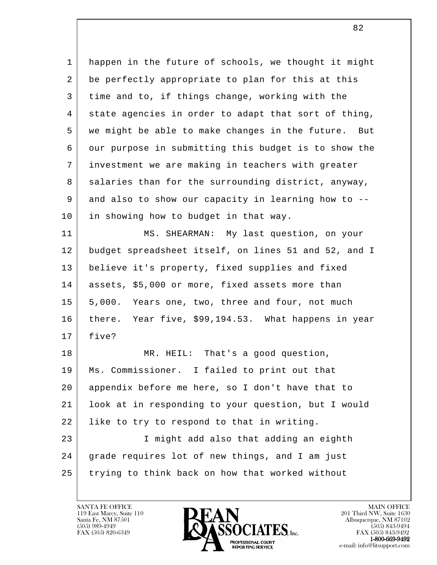l 1 happen in the future of schools, we thought it might 2 be perfectly appropriate to plan for this at this 3 time and to, if things change, working with the 4 state agencies in order to adapt that sort of thing, 5 we might be able to make changes in the future. But 6 our purpose in submitting this budget is to show the 7 investment we are making in teachers with greater 8 salaries than for the surrounding district, anyway, 9 and also to show our capacity in learning how to -- 10 | in showing how to budget in that way. 11 MS. SHEARMAN: My last question, on your 12 budget spreadsheet itself, on lines 51 and 52, and I 13 believe it's property, fixed supplies and fixed 14 | assets, \$5,000 or more, fixed assets more than 15 | 5,000. Years one, two, three and four, not much 16 there. Year five, \$99,194.53. What happens in year 17 five? 18 MR. HEIL: That's a good question, 19 Ms. Commissioner. I failed to print out that 20 appendix before me here, so I don't have that to 21 look at in responding to your question, but I would 22 | like to try to respond to that in writing. 23 I might add also that adding an eighth 24 grade requires lot of new things, and I am just 25 trying to think back on how that worked without

119 East Marcy, Suite 110<br>Santa Fe, NM 87501



FAX (505) 843-9492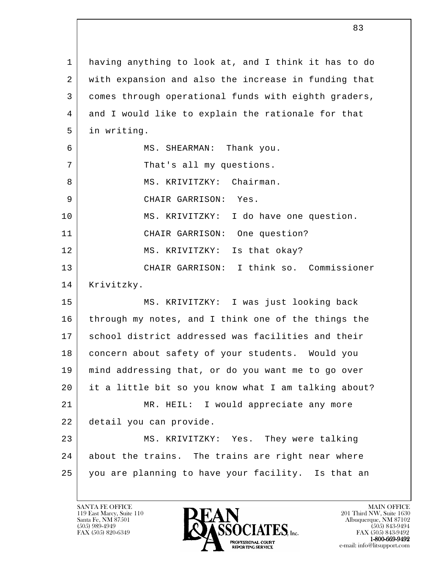l 1 having anything to look at, and I think it has to do 2 with expansion and also the increase in funding that 3 comes through operational funds with eighth graders, 4 and I would like to explain the rationale for that 5 in writing. 6 | MS. SHEARMAN: Thank you. 7 | That's all my questions. 8 MS. KRIVITZKY: Chairman. 9 CHAIR GARRISON: Yes. 10 MS. KRIVITZKY: I do have one question. 11 CHAIR GARRISON: One question? 12 MS. KRIVITZKY: Is that okay? 13 CHAIR GARRISON: I think so. Commissioner 14 Krivitzky. 15 MS. KRIVITZKY: I was just looking back 16 through my notes, and I think one of the things the 17 | school district addressed was facilities and their 18 concern about safety of your students. Would you 19 mind addressing that, or do you want me to go over 20 it a little bit so you know what I am talking about? 21 MR. HEIL: I would appreciate any more 22 detail you can provide. 23 MS. KRIVITZKY: Yes. They were talking 24 about the trains. The trains are right near where 25 you are planning to have your facility. Is that an

119 East Marcy, Suite 110<br>Santa Fe, NM 87501

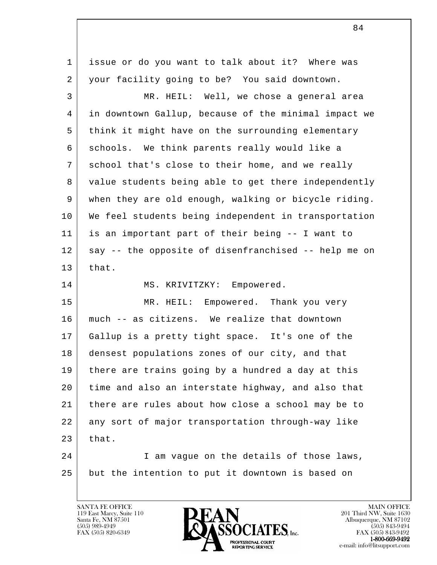| $\mathbf 1$ | issue or do you want to talk about it? Where was     |
|-------------|------------------------------------------------------|
| 2           | your facility going to be? You said downtown.        |
| 3           | MR. HEIL: Well, we chose a general area              |
| 4           | in downtown Gallup, because of the minimal impact we |
| 5           | think it might have on the surrounding elementary    |
| 6           | schools. We think parents really would like a        |
| 7           | school that's close to their home, and we really     |
| 8           | value students being able to get there independently |
| 9           | when they are old enough, walking or bicycle riding. |
| 10          | We feel students being independent in transportation |
| 11          | is an important part of their being -- I want to     |
| 12          | say -- the opposite of disenfranchised -- help me on |
| 13          | that.                                                |
| 14          | MS. KRIVITZKY: Empowered.                            |
| 15          | Empowered. Thank you very<br>MR. HEIL:               |
| 16          | much -- as citizens. We realize that downtown        |
| 17          | Gallup is a pretty tight space. It's one of the      |
| 18          | densest populations zones of our city, and that      |
| 19          | there are trains going by a hundred a day at this    |
| 20          | time and also an interstate highway, and also that   |
| 21          | there are rules about how close a school may be to   |
| 22          | any sort of major transportation through-way like    |
| 23          | that.                                                |
| 24          | I am vague on the details of those laws,             |
| 25          | but the intention to put it downtown is based on     |
|             |                                                      |

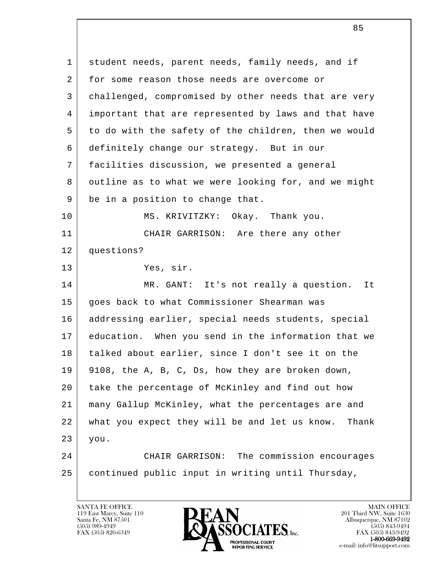l 1 student needs, parent needs, family needs, and if 2 for some reason those needs are overcome or 3 challenged, compromised by other needs that are very 4 important that are represented by laws and that have 5 to do with the safety of the children, then we would 6 definitely change our strategy. But in our 7 facilities discussion, we presented a general 8 outline as to what we were looking for, and we might 9 be in a position to change that. 10 MS. KRIVITZKY: Okay. Thank you. 11 CHAIR GARRISON: Are there any other 12 questions? 13 Yes, sir. 14 MR. GANT: It's not really a question. It 15 goes back to what Commissioner Shearman was 16 addressing earlier, special needs students, special 17 education. When you send in the information that we 18 talked about earlier, since I don't see it on the 19 9108, the A, B, C, Ds, how they are broken down, 20 take the percentage of McKinley and find out how 21 many Gallup McKinley, what the percentages are and 22 what you expect they will be and let us know. Thank 23 you. 24 CHAIR GARRISON: The commission encourages 25 continued public input in writing until Thursday,

119 East Marcy, Suite 110<br>Santa Fe, NM 87501

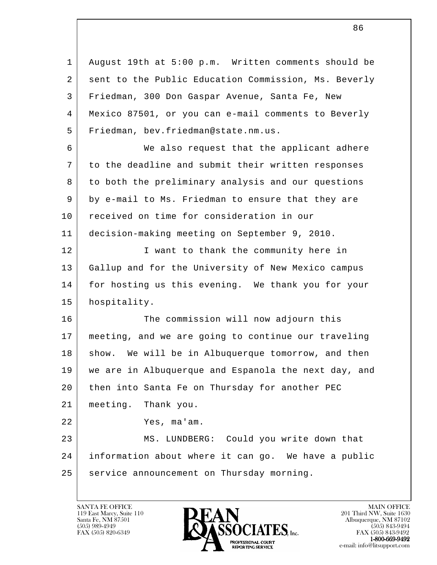l 1 August 19th at 5:00 p.m. Written comments should be 2 sent to the Public Education Commission, Ms. Beverly 3 Friedman, 300 Don Gaspar Avenue, Santa Fe, New 4 Mexico 87501, or you can e-mail comments to Beverly 5 Friedman, bev.friedman@state.nm.us. 6 We also request that the applicant adhere 7 to the deadline and submit their written responses 8 to both the preliminary analysis and our questions 9 by e-mail to Ms. Friedman to ensure that they are 10 | received on time for consideration in our 11 decision-making meeting on September 9, 2010. 12 | I want to thank the community here in 13 Gallup and for the University of New Mexico campus 14 | for hosting us this evening. We thank you for your 15 hospitality. 16 The commission will now adjourn this 17 meeting, and we are going to continue our traveling 18 show. We will be in Albuquerque tomorrow, and then 19 we are in Albuquerque and Espanola the next day, and 20 then into Santa Fe on Thursday for another PEC 21 meeting. Thank you. 22 Yes, ma'am. 23 MS. LUNDBERG: Could you write down that 24 information about where it can go. We have a public 25 | service announcement on Thursday morning.

119 East Marcy, Suite 110<br>Santa Fe, NM 87501



FAX (505) 843-9492 e-mail: info@litsupport.com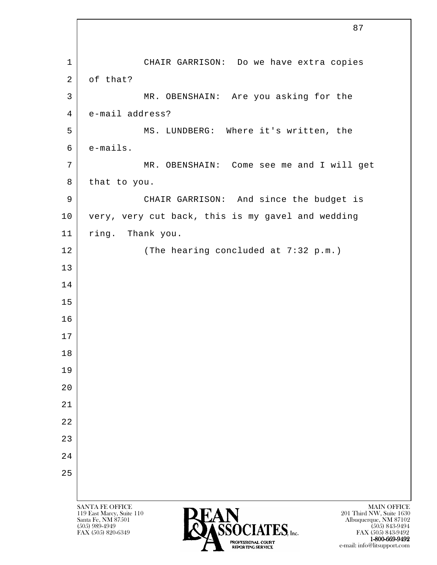l SANTA FE OFFICE MAIN OFFICE MAIN OFFICE MAIN OFFICE MAIN OFFICE 119 East Marcy, Suite 110<br>Santa Fe, NM 87501 Santa Fe, NM 87501 Albuquerque, NM 87102  $(505)$  989-4949 **CONTATIVE** (505) 843-9494 1 CHAIR GARRISON: Do we have extra copies 2 of that? 3 MR. OBENSHAIN: Are you asking for the 4 e-mail address? 5 | MS. LUNDBERG: Where it's written, the 6 e-mails. 7 | MR. OBENSHAIN: Come see me and I will get 8 that to you. 9 CHAIR GARRISON: And since the budget is 10 very, very cut back, this is my gavel and wedding 11 ring. Thank you. 12 The hearing concluded at 7:32 p.m.) 13 14 15 16 17 18 19 20 21 22 23 24 25

е произведения в последником политического компьютера в 187 металлирования в 187 металлирования в 187

FAX (505) 820-6349 **FAX (505) 823-9492** FAX (505) 843-9492

TROFESSIONAL COURT CONTROL CONTROL CONTROL COUNTY COUNTY COUNTY COUNTY CONTROL COUNTY CONTROL COUNTY CONTROL CONTROL CONTROL CONTROL CONTROL CONTROL CONTROL CONTROL CONTROL CONTROL CONTROL CONTROL CONTROL CONTROL CONTROL C

e-mail: info@litsupport.com